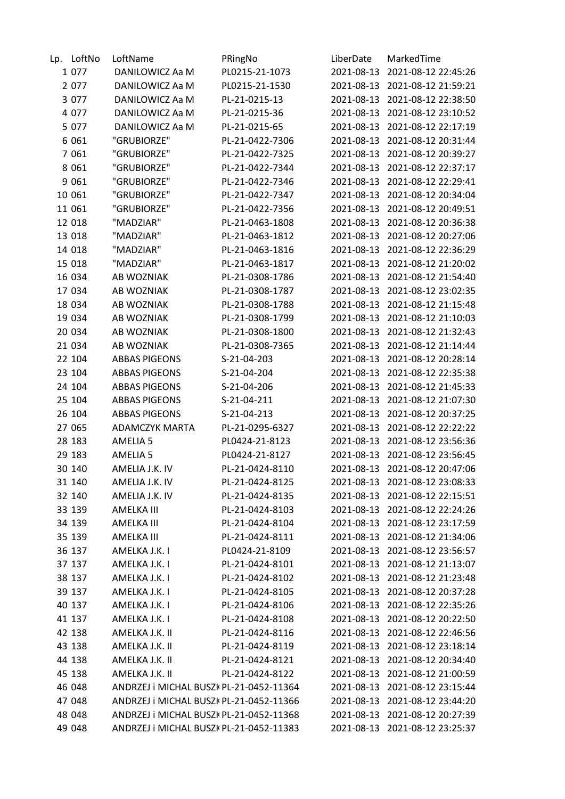| Lp. | LoftNo  | LoftName                                | PRingNo         | LiberDate  | MarkedTime                     |
|-----|---------|-----------------------------------------|-----------------|------------|--------------------------------|
|     | 1 0 7 7 | DANILOWICZ Aa M                         | PL0215-21-1073  | 2021-08-13 | 2021-08-12 22:45:26            |
|     | 2 0 7 7 | DANILOWICZ Aa M                         | PL0215-21-1530  | 2021-08-13 | 2021-08-12 21:59:21            |
|     | 3 0 7 7 | DANILOWICZ Aa M                         | PL-21-0215-13   | 2021-08-13 | 2021-08-12 22:38:50            |
|     | 4 0 7 7 | DANILOWICZ Aa M                         | PL-21-0215-36   | 2021-08-13 | 2021-08-12 23:10:52            |
|     | 5 0 7 7 | DANILOWICZ Aa M                         | PL-21-0215-65   | 2021-08-13 | 2021-08-12 22:17:19            |
|     | 6 0 6 1 | "GRUBIORZE"                             | PL-21-0422-7306 | 2021-08-13 | 2021-08-12 20:31:44            |
|     | 7 0 6 1 | "GRUBIORZE"                             | PL-21-0422-7325 | 2021-08-13 | 2021-08-12 20:39:27            |
|     | 8 0 6 1 | "GRUBIORZE"                             | PL-21-0422-7344 | 2021-08-13 | 2021-08-12 22:37:17            |
|     | 9 0 6 1 | "GRUBIORZE"                             | PL-21-0422-7346 | 2021-08-13 | 2021-08-12 22:29:41            |
|     | 10 061  | "GRUBIORZE"                             | PL-21-0422-7347 | 2021-08-13 | 2021-08-12 20:34:04            |
|     | 11 061  | "GRUBIORZE"                             | PL-21-0422-7356 | 2021-08-13 | 2021-08-12 20:49:51            |
|     | 12 018  | "MADZIAR"                               | PL-21-0463-1808 | 2021-08-13 | 2021-08-12 20:36:38            |
|     | 13 018  | "MADZIAR"                               | PL-21-0463-1812 | 2021-08-13 | 2021-08-12 20:27:06            |
|     | 14 018  | "MADZIAR"                               | PL-21-0463-1816 | 2021-08-13 | 2021-08-12 22:36:29            |
|     | 15 018  | "MADZIAR"                               | PL-21-0463-1817 | 2021-08-13 | 2021-08-12 21:20:02            |
|     | 16 034  | AB WOZNIAK                              | PL-21-0308-1786 | 2021-08-13 | 2021-08-12 21:54:40            |
|     | 17 034  | AB WOZNIAK                              | PL-21-0308-1787 | 2021-08-13 | 2021-08-12 23:02:35            |
|     | 18 034  | AB WOZNIAK                              | PL-21-0308-1788 | 2021-08-13 | 2021-08-12 21:15:48            |
|     | 19 034  | AB WOZNIAK                              | PL-21-0308-1799 | 2021-08-13 | 2021-08-12 21:10:03            |
|     | 20 034  | AB WOZNIAK                              | PL-21-0308-1800 | 2021-08-13 | 2021-08-12 21:32:43            |
|     | 21 034  | AB WOZNIAK                              | PL-21-0308-7365 | 2021-08-13 | 2021-08-12 21:14:44            |
|     | 22 104  | <b>ABBAS PIGEONS</b>                    | S-21-04-203     | 2021-08-13 | 2021-08-12 20:28:14            |
|     | 23 104  | <b>ABBAS PIGEONS</b>                    | S-21-04-204     | 2021-08-13 | 2021-08-12 22:35:38            |
|     | 24 104  | <b>ABBAS PIGEONS</b>                    | S-21-04-206     | 2021-08-13 | 2021-08-12 21:45:33            |
|     | 25 104  | <b>ABBAS PIGEONS</b>                    | S-21-04-211     | 2021-08-13 | 2021-08-12 21:07:30            |
|     | 26 104  | <b>ABBAS PIGEONS</b>                    | S-21-04-213     | 2021-08-13 | 2021-08-12 20:37:25            |
|     | 27 065  | <b>ADAMCZYK MARTA</b>                   | PL-21-0295-6327 | 2021-08-13 | 2021-08-12 22:22:22            |
|     | 28 183  | <b>AMELIA 5</b>                         | PL0424-21-8123  | 2021-08-13 | 2021-08-12 23:56:36            |
|     | 29 183  | <b>AMELIA 5</b>                         | PL0424-21-8127  | 2021-08-13 | 2021-08-12 23:56:45            |
|     | 30 140  | AMELIA J.K. IV                          | PL-21-0424-8110 |            | 2021-08-13 2021-08-12 20:47:06 |
|     | 31 140  | AMELIA J.K. IV                          | PL-21-0424-8125 | 2021-08-13 | 2021-08-12 23:08:33            |
|     | 32 140  | AMELIA J.K. IV                          | PL-21-0424-8135 | 2021-08-13 | 2021-08-12 22:15:51            |
|     | 33 139  | AMELKA III                              | PL-21-0424-8103 | 2021-08-13 | 2021-08-12 22:24:26            |
|     | 34 139  | AMELKA III                              | PL-21-0424-8104 | 2021-08-13 | 2021-08-12 23:17:59            |
|     | 35 139  | AMELKA III                              | PL-21-0424-8111 |            | 2021-08-13 2021-08-12 21:34:06 |
|     | 36 137  | AMELKA J.K. I                           | PL0424-21-8109  | 2021-08-13 | 2021-08-12 23:56:57            |
|     | 37 137  | AMELKA J.K. I                           | PL-21-0424-8101 | 2021-08-13 | 2021-08-12 21:13:07            |
|     | 38 137  | AMELKA J.K. I                           | PL-21-0424-8102 | 2021-08-13 | 2021-08-12 21:23:48            |
|     | 39 137  | AMELKA J.K. I                           | PL-21-0424-8105 | 2021-08-13 | 2021-08-12 20:37:28            |
|     | 40 137  | AMELKA J.K. I                           | PL-21-0424-8106 | 2021-08-13 | 2021-08-12 22:35:26            |
|     | 41 137  | AMELKA J.K. I                           | PL-21-0424-8108 | 2021-08-13 | 2021-08-12 20:22:50            |
|     | 42 138  | AMELKA J.K. II                          | PL-21-0424-8116 | 2021-08-13 | 2021-08-12 22:46:56            |
|     | 43 138  | AMELKA J.K. II                          | PL-21-0424-8119 | 2021-08-13 | 2021-08-12 23:18:14            |
|     | 44 138  | AMELKA J.K. II                          | PL-21-0424-8121 | 2021-08-13 | 2021-08-12 20:34:40            |
|     | 45 138  | AMELKA J.K. II                          | PL-21-0424-8122 | 2021-08-13 | 2021-08-12 21:00:59            |
|     | 46 048  | ANDRZEJ i MICHAL BUSZK PL-21-0452-11364 |                 | 2021-08-13 | 2021-08-12 23:15:44            |
|     | 47 048  | ANDRZEJ i MICHAL BUSZK PL-21-0452-11366 |                 | 2021-08-13 | 2021-08-12 23:44:20            |
|     | 48 048  | ANDRZEJ i MICHAL BUSZK PL-21-0452-11368 |                 | 2021-08-13 | 2021-08-12 20:27:39            |
|     | 49 048  | ANDRZEJ i MICHAL BUSZK PL-21-0452-11383 |                 |            | 2021-08-13 2021-08-12 23:25:37 |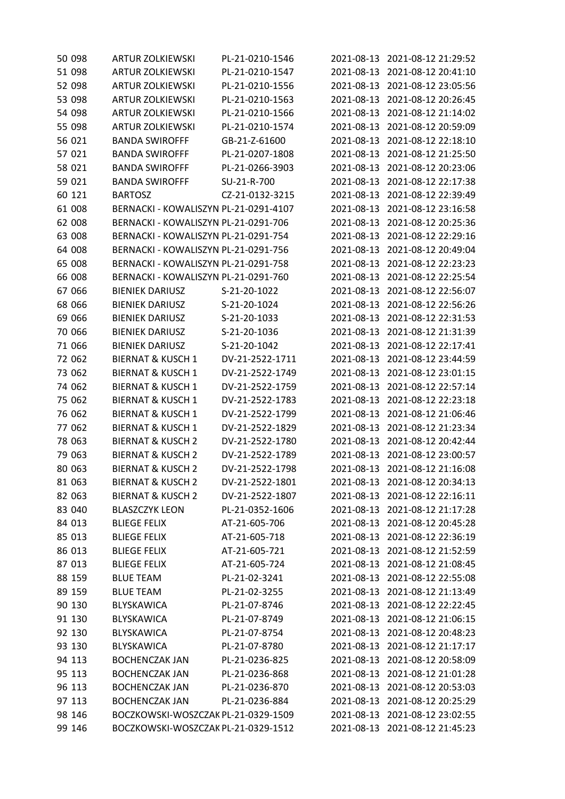| 50 098 | <b>ARTUR ZOLKIEWSKI</b>               | PL-21-0210-1546 | 2021-08-13 | 2021-08-12 21:29:52            |
|--------|---------------------------------------|-----------------|------------|--------------------------------|
| 51 098 | <b>ARTUR ZOLKIEWSKI</b>               | PL-21-0210-1547 | 2021-08-13 | 2021-08-12 20:41:10            |
| 52 098 | <b>ARTUR ZOLKIEWSKI</b>               | PL-21-0210-1556 | 2021-08-13 | 2021-08-12 23:05:56            |
| 53 098 | <b>ARTUR ZOLKIEWSKI</b>               | PL-21-0210-1563 | 2021-08-13 | 2021-08-12 20:26:45            |
| 54 098 | <b>ARTUR ZOLKIEWSKI</b>               | PL-21-0210-1566 | 2021-08-13 | 2021-08-12 21:14:02            |
| 55 098 | <b>ARTUR ZOLKIEWSKI</b>               | PL-21-0210-1574 | 2021-08-13 | 2021-08-12 20:59:09            |
| 56 021 | <b>BANDA SWIROFFF</b>                 | GB-21-Z-61600   | 2021-08-13 | 2021-08-12 22:18:10            |
| 57 021 | <b>BANDA SWIROFFF</b>                 | PL-21-0207-1808 | 2021-08-13 | 2021-08-12 21:25:50            |
| 58 021 | <b>BANDA SWIROFFF</b>                 | PL-21-0266-3903 | 2021-08-13 | 2021-08-12 20:23:06            |
| 59 021 | <b>BANDA SWIROFFF</b>                 | SU-21-R-700     | 2021-08-13 | 2021-08-12 22:17:38            |
| 60 121 | <b>BARTOSZ</b>                        | CZ-21-0132-3215 | 2021-08-13 | 2021-08-12 22:39:49            |
| 61 008 | BERNACKI - KOWALISZYN PL-21-0291-4107 |                 | 2021-08-13 | 2021-08-12 23:16:58            |
| 62 008 | BERNACKI - KOWALISZYN PL-21-0291-706  |                 | 2021-08-13 | 2021-08-12 20:25:36            |
| 63 008 | BERNACKI - KOWALISZYN PL-21-0291-754  |                 | 2021-08-13 | 2021-08-12 22:29:16            |
| 64 008 | BERNACKI - KOWALISZYN PL-21-0291-756  |                 | 2021-08-13 | 2021-08-12 20:49:04            |
| 65 008 | BERNACKI - KOWALISZYN PL-21-0291-758  |                 | 2021-08-13 | 2021-08-12 22:23:23            |
| 66 008 | BERNACKI - KOWALISZYN PL-21-0291-760  |                 | 2021-08-13 | 2021-08-12 22:25:54            |
| 67 066 | <b>BIENIEK DARIUSZ</b>                | S-21-20-1022    | 2021-08-13 | 2021-08-12 22:56:07            |
| 68 066 | <b>BIENIEK DARIUSZ</b>                | S-21-20-1024    | 2021-08-13 | 2021-08-12 22:56:26            |
| 69 066 | <b>BIENIEK DARIUSZ</b>                | S-21-20-1033    | 2021-08-13 | 2021-08-12 22:31:53            |
| 70 066 | <b>BIENIEK DARIUSZ</b>                | S-21-20-1036    | 2021-08-13 | 2021-08-12 21:31:39            |
| 71 066 | <b>BIENIEK DARIUSZ</b>                | S-21-20-1042    | 2021-08-13 | 2021-08-12 22:17:41            |
| 72 062 | <b>BIERNAT &amp; KUSCH 1</b>          | DV-21-2522-1711 | 2021-08-13 | 2021-08-12 23:44:59            |
| 73 062 | <b>BIERNAT &amp; KUSCH 1</b>          | DV-21-2522-1749 | 2021-08-13 | 2021-08-12 23:01:15            |
| 74 062 | <b>BIERNAT &amp; KUSCH 1</b>          | DV-21-2522-1759 | 2021-08-13 | 2021-08-12 22:57:14            |
| 75 062 | <b>BIERNAT &amp; KUSCH 1</b>          | DV-21-2522-1783 | 2021-08-13 | 2021-08-12 22:23:18            |
| 76 062 | <b>BIERNAT &amp; KUSCH 1</b>          | DV-21-2522-1799 | 2021-08-13 | 2021-08-12 21:06:46            |
| 77 062 | <b>BIERNAT &amp; KUSCH 1</b>          | DV-21-2522-1829 | 2021-08-13 | 2021-08-12 21:23:34            |
| 78 063 | <b>BIERNAT &amp; KUSCH 2</b>          | DV-21-2522-1780 | 2021-08-13 | 2021-08-12 20:42:44            |
| 79 063 | <b>BIERNAT &amp; KUSCH 2</b>          | DV-21-2522-1789 | 2021-08-13 | 2021-08-12 23:00:57            |
| 80 063 | <b>BIERNAT &amp; KUSCH 2</b>          | DV-21-2522-1798 | 2021-08-13 | 2021-08-12 21:16:08            |
| 81 063 | <b>BIERNAT &amp; KUSCH 2</b>          | DV-21-2522-1801 | 2021-08-13 | 2021-08-12 20:34:13            |
| 82 063 | <b>BIERNAT &amp; KUSCH 2</b>          | DV-21-2522-1807 | 2021-08-13 | 2021-08-12 22:16:11            |
| 83 040 | <b>BLASZCZYK LEON</b>                 | PL-21-0352-1606 | 2021-08-13 | 2021-08-12 21:17:28            |
| 84 013 | <b>BLIEGE FELIX</b>                   | AT-21-605-706   | 2021-08-13 | 2021-08-12 20:45:28            |
| 85 013 | <b>BLIEGE FELIX</b>                   | AT-21-605-718   |            | 2021-08-13 2021-08-12 22:36:19 |
| 86 013 | <b>BLIEGE FELIX</b>                   | AT-21-605-721   | 2021-08-13 | 2021-08-12 21:52:59            |
| 87 013 | <b>BLIEGE FELIX</b>                   | AT-21-605-724   | 2021-08-13 | 2021-08-12 21:08:45            |
| 88 159 | <b>BLUE TEAM</b>                      | PL-21-02-3241   | 2021-08-13 | 2021-08-12 22:55:08            |
| 89 159 | <b>BLUE TEAM</b>                      | PL-21-02-3255   | 2021-08-13 | 2021-08-12 21:13:49            |
| 90 130 | <b>BLYSKAWICA</b>                     | PL-21-07-8746   |            | 2021-08-13 2021-08-12 22:22:45 |
| 91 130 | <b>BLYSKAWICA</b>                     | PL-21-07-8749   | 2021-08-13 | 2021-08-12 21:06:15            |
| 92 130 | <b>BLYSKAWICA</b>                     | PL-21-07-8754   | 2021-08-13 | 2021-08-12 20:48:23            |
| 93 130 | <b>BLYSKAWICA</b>                     | PL-21-07-8780   | 2021-08-13 | 2021-08-12 21:17:17            |
| 94 113 | <b>BOCHENCZAK JAN</b>                 | PL-21-0236-825  | 2021-08-13 | 2021-08-12 20:58:09            |
| 95 113 | <b>BOCHENCZAK JAN</b>                 | PL-21-0236-868  | 2021-08-13 | 2021-08-12 21:01:28            |
| 96 113 | <b>BOCHENCZAK JAN</b>                 | PL-21-0236-870  | 2021-08-13 | 2021-08-12 20:53:03            |
| 97 113 | <b>BOCHENCZAK JAN</b>                 | PL-21-0236-884  | 2021-08-13 | 2021-08-12 20:25:29            |
| 98 146 | BOCZKOWSKI-WOSZCZAK PL-21-0329-1509   |                 | 2021-08-13 | 2021-08-12 23:02:55            |
| 99 146 | BOCZKOWSKI-WOSZCZAK PL-21-0329-1512   |                 |            | 2021-08-13 2021-08-12 21:45:23 |
|        |                                       |                 |            |                                |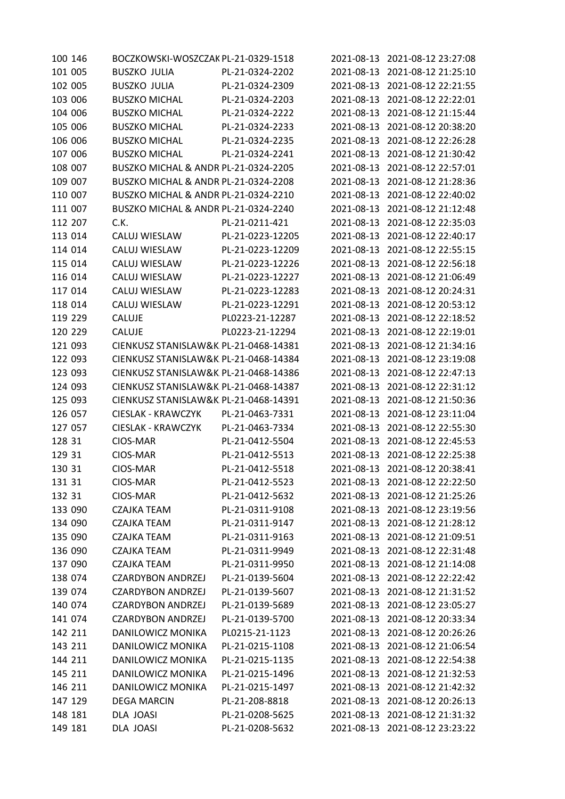| 100 146 | BOCZKOWSKI-WOSZCZAK PL-21-0329-1518   |                  |            | 2021-08-13 2021-08-12 23:27:08 |
|---------|---------------------------------------|------------------|------------|--------------------------------|
| 101 005 | <b>BUSZKO JULIA</b>                   | PL-21-0324-2202  | 2021-08-13 | 2021-08-12 21:25:10            |
| 102 005 | <b>BUSZKO JULIA</b>                   | PL-21-0324-2309  | 2021-08-13 | 2021-08-12 22:21:55            |
| 103 006 | <b>BUSZKO MICHAL</b>                  | PL-21-0324-2203  | 2021-08-13 | 2021-08-12 22:22:01            |
| 104 006 | <b>BUSZKO MICHAL</b>                  | PL-21-0324-2222  | 2021-08-13 | 2021-08-12 21:15:44            |
| 105 006 | <b>BUSZKO MICHAL</b>                  | PL-21-0324-2233  | 2021-08-13 | 2021-08-12 20:38:20            |
| 106 006 | <b>BUSZKO MICHAL</b>                  | PL-21-0324-2235  | 2021-08-13 | 2021-08-12 22:26:28            |
| 107 006 | <b>BUSZKO MICHAL</b>                  | PL-21-0324-2241  | 2021-08-13 | 2021-08-12 21:30:42            |
| 108 007 | BUSZKO MICHAL & ANDR PL-21-0324-2205  |                  | 2021-08-13 | 2021-08-12 22:57:01            |
| 109 007 | BUSZKO MICHAL & ANDR PL-21-0324-2208  |                  | 2021-08-13 | 2021-08-12 21:28:36            |
| 110 007 | BUSZKO MICHAL & ANDR PL-21-0324-2210  |                  | 2021-08-13 | 2021-08-12 22:40:02            |
| 111 007 | BUSZKO MICHAL & ANDR PL-21-0324-2240  |                  | 2021-08-13 | 2021-08-12 21:12:48            |
| 112 207 | C.K.                                  | PL-21-0211-421   | 2021-08-13 | 2021-08-12 22:35:03            |
| 113 014 | CALUJ WIESLAW                         | PL-21-0223-12205 | 2021-08-13 | 2021-08-12 22:40:17            |
| 114 014 | CALUJ WIESLAW                         | PL-21-0223-12209 | 2021-08-13 | 2021-08-12 22:55:15            |
| 115 014 | CALUJ WIESLAW                         | PL-21-0223-12226 | 2021-08-13 | 2021-08-12 22:56:18            |
| 116 014 | CALUJ WIESLAW                         | PL-21-0223-12227 | 2021-08-13 | 2021-08-12 21:06:49            |
| 117 014 | CALUJ WIESLAW                         | PL-21-0223-12283 | 2021-08-13 | 2021-08-12 20:24:31            |
| 118 014 | CALUJ WIESLAW                         | PL-21-0223-12291 | 2021-08-13 | 2021-08-12 20:53:12            |
| 119 229 | CALUJE                                | PL0223-21-12287  | 2021-08-13 | 2021-08-12 22:18:52            |
| 120 229 | <b>CALUJE</b>                         | PL0223-21-12294  | 2021-08-13 | 2021-08-12 22:19:01            |
| 121 093 | CIENKUSZ STANISLAW&K PL-21-0468-14381 |                  | 2021-08-13 | 2021-08-12 21:34:16            |
| 122 093 | CIENKUSZ STANISLAW&K PL-21-0468-14384 |                  | 2021-08-13 | 2021-08-12 23:19:08            |
| 123 093 | CIENKUSZ STANISLAW&K PL-21-0468-14386 |                  | 2021-08-13 | 2021-08-12 22:47:13            |
| 124 093 | CIENKUSZ STANISLAW&K PL-21-0468-14387 |                  | 2021-08-13 | 2021-08-12 22:31:12            |
| 125 093 | CIENKUSZ STANISLAW&K PL-21-0468-14391 |                  | 2021-08-13 | 2021-08-12 21:50:36            |
| 126 057 | <b>CIESLAK - KRAWCZYK</b>             | PL-21-0463-7331  | 2021-08-13 | 2021-08-12 23:11:04            |
| 127 057 | <b>CIESLAK - KRAWCZYK</b>             | PL-21-0463-7334  | 2021-08-13 | 2021-08-12 22:55:30            |
| 128 31  | CIOS-MAR                              | PL-21-0412-5504  | 2021-08-13 | 2021-08-12 22:45:53            |
| 129 31  | CIOS-MAR                              | PL-21-0412-5513  | 2021-08-13 | 2021-08-12 22:25:38            |
| 130 31  | CIOS-MAR                              | PL-21-0412-5518  |            | 2021-08-13 2021-08-12 20:38:41 |
| 131 31  | CIOS-MAR                              | PL-21-0412-5523  | 2021-08-13 | 2021-08-12 22:22:50            |
| 132 31  | CIOS-MAR                              | PL-21-0412-5632  | 2021-08-13 | 2021-08-12 21:25:26            |
| 133 090 | <b>CZAJKA TEAM</b>                    | PL-21-0311-9108  | 2021-08-13 | 2021-08-12 23:19:56            |
| 134 090 | <b>CZAJKA TEAM</b>                    | PL-21-0311-9147  | 2021-08-13 | 2021-08-12 21:28:12            |
| 135 090 | CZAJKA TEAM                           | PL-21-0311-9163  | 2021-08-13 | 2021-08-12 21:09:51            |
| 136 090 | <b>CZAJKA TEAM</b>                    | PL-21-0311-9949  | 2021-08-13 | 2021-08-12 22:31:48            |
| 137 090 | <b>CZAJKA TEAM</b>                    | PL-21-0311-9950  | 2021-08-13 | 2021-08-12 21:14:08            |
| 138 074 | <b>CZARDYBON ANDRZEJ</b>              | PL-21-0139-5604  | 2021-08-13 | 2021-08-12 22:22:42            |
| 139 074 | <b>CZARDYBON ANDRZEJ</b>              | PL-21-0139-5607  | 2021-08-13 | 2021-08-12 21:31:52            |
| 140 074 | <b>CZARDYBON ANDRZEJ</b>              | PL-21-0139-5689  | 2021-08-13 | 2021-08-12 23:05:27            |
| 141 074 | <b>CZARDYBON ANDRZEJ</b>              | PL-21-0139-5700  | 2021-08-13 | 2021-08-12 20:33:34            |
| 142 211 | DANILOWICZ MONIKA                     | PL0215-21-1123   | 2021-08-13 | 2021-08-12 20:26:26            |
| 143 211 | DANILOWICZ MONIKA                     | PL-21-0215-1108  | 2021-08-13 | 2021-08-12 21:06:54            |
| 144 211 | DANILOWICZ MONIKA                     | PL-21-0215-1135  | 2021-08-13 | 2021-08-12 22:54:38            |
| 145 211 | DANILOWICZ MONIKA                     | PL-21-0215-1496  | 2021-08-13 | 2021-08-12 21:32:53            |
| 146 211 | DANILOWICZ MONIKA                     | PL-21-0215-1497  | 2021-08-13 | 2021-08-12 21:42:32            |
| 147 129 | <b>DEGA MARCIN</b>                    | PL-21-208-8818   | 2021-08-13 | 2021-08-12 20:26:13            |
| 148 181 | DLA JOASI                             | PL-21-0208-5625  | 2021-08-13 | 2021-08-12 21:31:32            |
| 149 181 | DLA JOASI                             | PL-21-0208-5632  | 2021-08-13 | 2021-08-12 23:23:22            |
|         |                                       |                  |            |                                |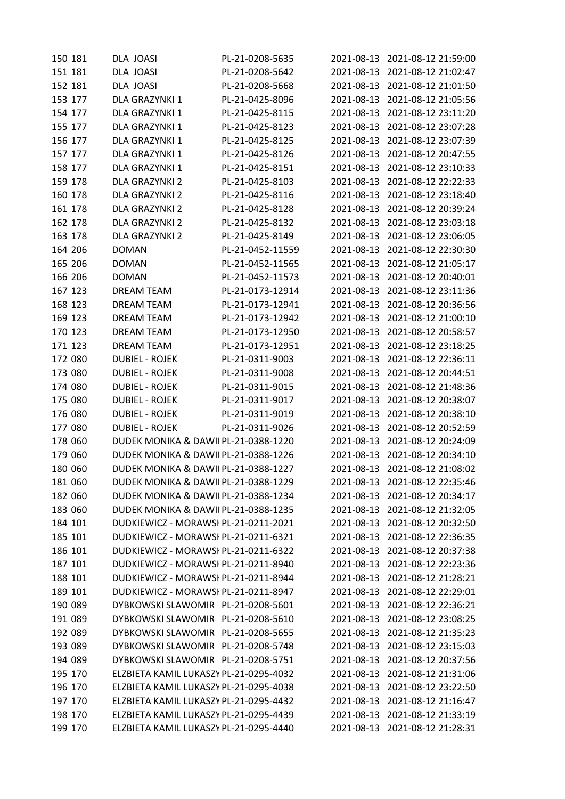| 150 181 | DLA JOASI                              | PL-21-0208-5635  |            | 2021-08-13 2021-08-12 21:59:00 |
|---------|----------------------------------------|------------------|------------|--------------------------------|
| 151 181 | DLA JOASI                              | PL-21-0208-5642  | 2021-08-13 | 2021-08-12 21:02:47            |
| 152 181 | DLA JOASI                              | PL-21-0208-5668  | 2021-08-13 | 2021-08-12 21:01:50            |
| 153 177 | DLA GRAZYNKI 1                         | PL-21-0425-8096  | 2021-08-13 | 2021-08-12 21:05:56            |
| 154 177 | DLA GRAZYNKI 1                         | PL-21-0425-8115  | 2021-08-13 | 2021-08-12 23:11:20            |
| 155 177 | DLA GRAZYNKI 1                         | PL-21-0425-8123  | 2021-08-13 | 2021-08-12 23:07:28            |
| 156 177 | DLA GRAZYNKI 1                         | PL-21-0425-8125  | 2021-08-13 | 2021-08-12 23:07:39            |
| 157 177 | DLA GRAZYNKI 1                         | PL-21-0425-8126  | 2021-08-13 | 2021-08-12 20:47:55            |
| 158 177 | DLA GRAZYNKI 1                         | PL-21-0425-8151  | 2021-08-13 | 2021-08-12 23:10:33            |
| 159 178 | <b>DLA GRAZYNKI 2</b>                  | PL-21-0425-8103  | 2021-08-13 | 2021-08-12 22:22:33            |
| 160 178 | DLA GRAZYNKI 2                         | PL-21-0425-8116  | 2021-08-13 | 2021-08-12 23:18:40            |
| 161 178 | DLA GRAZYNKI 2                         | PL-21-0425-8128  | 2021-08-13 | 2021-08-12 20:39:24            |
| 162 178 | DLA GRAZYNKI 2                         | PL-21-0425-8132  | 2021-08-13 | 2021-08-12 23:03:18            |
| 163 178 | DLA GRAZYNKI 2                         | PL-21-0425-8149  | 2021-08-13 | 2021-08-12 23:06:05            |
| 164 206 | <b>DOMAN</b>                           | PL-21-0452-11559 | 2021-08-13 | 2021-08-12 22:30:30            |
| 165 206 | <b>DOMAN</b>                           | PL-21-0452-11565 | 2021-08-13 | 2021-08-12 21:05:17            |
| 166 206 | <b>DOMAN</b>                           | PL-21-0452-11573 | 2021-08-13 | 2021-08-12 20:40:01            |
| 167 123 | <b>DREAM TEAM</b>                      | PL-21-0173-12914 | 2021-08-13 | 2021-08-12 23:11:36            |
| 168 123 | DREAM TEAM                             | PL-21-0173-12941 | 2021-08-13 | 2021-08-12 20:36:56            |
| 169 123 | <b>DREAM TEAM</b>                      | PL-21-0173-12942 | 2021-08-13 | 2021-08-12 21:00:10            |
| 170 123 | DREAM TEAM                             | PL-21-0173-12950 | 2021-08-13 | 2021-08-12 20:58:57            |
| 171 123 | <b>DREAM TEAM</b>                      | PL-21-0173-12951 | 2021-08-13 | 2021-08-12 23:18:25            |
| 172 080 | <b>DUBIEL - ROJEK</b>                  | PL-21-0311-9003  | 2021-08-13 | 2021-08-12 22:36:11            |
| 173 080 | <b>DUBIEL - ROJEK</b>                  | PL-21-0311-9008  | 2021-08-13 | 2021-08-12 20:44:51            |
| 174 080 | <b>DUBIEL - ROJEK</b>                  | PL-21-0311-9015  | 2021-08-13 | 2021-08-12 21:48:36            |
| 175 080 | <b>DUBIEL - ROJEK</b>                  | PL-21-0311-9017  | 2021-08-13 | 2021-08-12 20:38:07            |
| 176 080 | <b>DUBIEL - ROJEK</b>                  | PL-21-0311-9019  | 2021-08-13 | 2021-08-12 20:38:10            |
| 177 080 | <b>DUBIEL - ROJEK</b>                  | PL-21-0311-9026  | 2021-08-13 | 2021-08-12 20:52:59            |
| 178 060 | DUDEK MONIKA & DAWII PL-21-0388-1220   |                  | 2021-08-13 | 2021-08-12 20:24:09            |
| 179 060 | DUDEK MONIKA & DAWII PL-21-0388-1226   |                  | 2021-08-13 | 2021-08-12 20:34:10            |
| 180 060 | DUDEK MONIKA & DAWII PL-21-0388-1227   |                  |            | 2021-08-13 2021-08-12 21:08:02 |
| 181 060 | DUDEK MONIKA & DAWII PL-21-0388-1229   |                  |            | 2021-08-13 2021-08-12 22:35:46 |
| 182 060 | DUDEK MONIKA & DAWII PL-21-0388-1234   |                  | 2021-08-13 | 2021-08-12 20:34:17            |
| 183 060 | DUDEK MONIKA & DAWII PL-21-0388-1235   |                  |            | 2021-08-13 2021-08-12 21:32:05 |
| 184 101 | DUDKIEWICZ - MORAWSI PL-21-0211-2021   |                  | 2021-08-13 | 2021-08-12 20:32:50            |
| 185 101 | DUDKIEWICZ - MORAWSI PL-21-0211-6321   |                  | 2021-08-13 | 2021-08-12 22:36:35            |
| 186 101 | DUDKIEWICZ - MORAWSI PL-21-0211-6322   |                  | 2021-08-13 | 2021-08-12 20:37:38            |
| 187 101 | DUDKIEWICZ - MORAWSI PL-21-0211-8940   |                  | 2021-08-13 | 2021-08-12 22:23:36            |
| 188 101 | DUDKIEWICZ - MORAWSI PL-21-0211-8944   |                  |            | 2021-08-13 2021-08-12 21:28:21 |
| 189 101 | DUDKIEWICZ - MORAWSI PL-21-0211-8947   |                  | 2021-08-13 | 2021-08-12 22:29:01            |
| 190 089 | DYBKOWSKI SLAWOMIR PL-21-0208-5601     |                  | 2021-08-13 | 2021-08-12 22:36:21            |
| 191 089 | DYBKOWSKI SLAWOMIR PL-21-0208-5610     |                  | 2021-08-13 | 2021-08-12 23:08:25            |
| 192 089 | DYBKOWSKI SLAWOMIR PL-21-0208-5655     |                  | 2021-08-13 | 2021-08-12 21:35:23            |
| 193 089 | DYBKOWSKI SLAWOMIR PL-21-0208-5748     |                  | 2021-08-13 | 2021-08-12 23:15:03            |
| 194 089 | DYBKOWSKI SLAWOMIR PL-21-0208-5751     |                  | 2021-08-13 | 2021-08-12 20:37:56            |
| 195 170 | ELZBIETA KAMIL LUKASZY PL-21-0295-4032 |                  | 2021-08-13 | 2021-08-12 21:31:06            |
| 196 170 | ELZBIETA KAMIL LUKASZY PL-21-0295-4038 |                  | 2021-08-13 | 2021-08-12 23:22:50            |
| 197 170 | ELZBIETA KAMIL LUKASZY PL-21-0295-4432 |                  | 2021-08-13 | 2021-08-12 21:16:47            |
| 198 170 | ELZBIETA KAMIL LUKASZY PL-21-0295-4439 |                  |            | 2021-08-13 2021-08-12 21:33:19 |
| 199 170 | ELZBIETA KAMIL LUKASZY PL-21-0295-4440 |                  |            | 2021-08-13 2021-08-12 21:28:31 |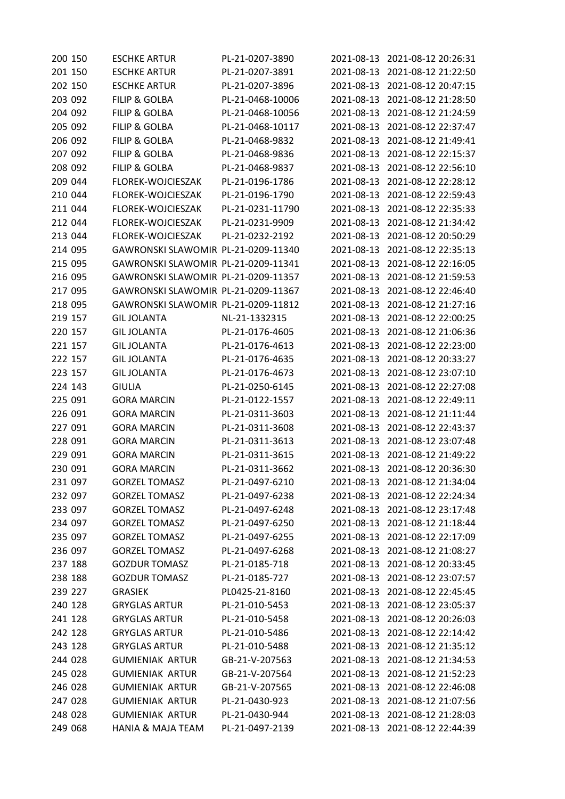| 200 150 | <b>ESCHKE ARTUR</b>                 | PL-21-0207-3890  |            | 2021-08-13 2021-08-12 20:26:31 |
|---------|-------------------------------------|------------------|------------|--------------------------------|
| 201 150 | <b>ESCHKE ARTUR</b>                 | PL-21-0207-3891  | 2021-08-13 | 2021-08-12 21:22:50            |
| 202 150 | <b>ESCHKE ARTUR</b>                 | PL-21-0207-3896  | 2021-08-13 | 2021-08-12 20:47:15            |
| 203 092 | <b>FILIP &amp; GOLBA</b>            | PL-21-0468-10006 | 2021-08-13 | 2021-08-12 21:28:50            |
| 204 092 | <b>FILIP &amp; GOLBA</b>            | PL-21-0468-10056 | 2021-08-13 | 2021-08-12 21:24:59            |
| 205 092 | <b>FILIP &amp; GOLBA</b>            | PL-21-0468-10117 | 2021-08-13 | 2021-08-12 22:37:47            |
| 206 092 | <b>FILIP &amp; GOLBA</b>            | PL-21-0468-9832  | 2021-08-13 | 2021-08-12 21:49:41            |
| 207 092 | <b>FILIP &amp; GOLBA</b>            | PL-21-0468-9836  | 2021-08-13 | 2021-08-12 22:15:37            |
| 208 092 | <b>FILIP &amp; GOLBA</b>            | PL-21-0468-9837  | 2021-08-13 | 2021-08-12 22:56:10            |
| 209 044 | FLOREK-WOJCIESZAK                   | PL-21-0196-1786  | 2021-08-13 | 2021-08-12 22:28:12            |
| 210 044 | FLOREK-WOJCIESZAK                   | PL-21-0196-1790  | 2021-08-13 | 2021-08-12 22:59:43            |
| 211 044 | FLOREK-WOJCIESZAK                   | PL-21-0231-11790 | 2021-08-13 | 2021-08-12 22:35:33            |
| 212 044 | FLOREK-WOJCIESZAK                   | PL-21-0231-9909  | 2021-08-13 | 2021-08-12 21:34:42            |
| 213 044 | FLOREK-WOJCIESZAK                   | PL-21-0232-2192  | 2021-08-13 | 2021-08-12 20:50:29            |
| 214 095 | GAWRONSKI SLAWOMIR PL-21-0209-11340 |                  | 2021-08-13 | 2021-08-12 22:35:13            |
| 215 095 | GAWRONSKI SLAWOMIR PL-21-0209-11341 |                  | 2021-08-13 | 2021-08-12 22:16:05            |
| 216 095 | GAWRONSKI SLAWOMIR PL-21-0209-11357 |                  | 2021-08-13 | 2021-08-12 21:59:53            |
| 217 095 | GAWRONSKI SLAWOMIR PL-21-0209-11367 |                  | 2021-08-13 | 2021-08-12 22:46:40            |
| 218 095 | GAWRONSKI SLAWOMIR PL-21-0209-11812 |                  | 2021-08-13 | 2021-08-12 21:27:16            |
| 219 157 | <b>GIL JOLANTA</b>                  | NL-21-1332315    | 2021-08-13 | 2021-08-12 22:00:25            |
| 220 157 | <b>GIL JOLANTA</b>                  | PL-21-0176-4605  | 2021-08-13 | 2021-08-12 21:06:36            |
| 221 157 | <b>GIL JOLANTA</b>                  | PL-21-0176-4613  | 2021-08-13 | 2021-08-12 22:23:00            |
| 222 157 | <b>GIL JOLANTA</b>                  | PL-21-0176-4635  | 2021-08-13 | 2021-08-12 20:33:27            |
| 223 157 | <b>GIL JOLANTA</b>                  | PL-21-0176-4673  | 2021-08-13 | 2021-08-12 23:07:10            |
| 224 143 | <b>GIULIA</b>                       | PL-21-0250-6145  | 2021-08-13 | 2021-08-12 22:27:08            |
| 225 091 | <b>GORA MARCIN</b>                  | PL-21-0122-1557  | 2021-08-13 | 2021-08-12 22:49:11            |
| 226 091 | <b>GORA MARCIN</b>                  | PL-21-0311-3603  | 2021-08-13 | 2021-08-12 21:11:44            |
| 227 091 | <b>GORA MARCIN</b>                  | PL-21-0311-3608  | 2021-08-13 | 2021-08-12 22:43:37            |
| 228 091 | <b>GORA MARCIN</b>                  | PL-21-0311-3613  | 2021-08-13 | 2021-08-12 23:07:48            |
| 229 091 | <b>GORA MARCIN</b>                  | PL-21-0311-3615  | 2021-08-13 | 2021-08-12 21:49:22            |
| 230 091 | <b>GORA MARCIN</b>                  | PL-21-0311-3662  |            | 2021-08-13 2021-08-12 20:36:30 |
| 231 097 | <b>GORZEL TOMASZ</b>                | PL-21-0497-6210  | 2021-08-13 | 2021-08-12 21:34:04            |
| 232 097 | <b>GORZEL TOMASZ</b>                | PL-21-0497-6238  | 2021-08-13 | 2021-08-12 22:24:34            |
| 233 097 | <b>GORZEL TOMASZ</b>                | PL-21-0497-6248  | 2021-08-13 | 2021-08-12 23:17:48            |
| 234 097 | <b>GORZEL TOMASZ</b>                | PL-21-0497-6250  | 2021-08-13 | 2021-08-12 21:18:44            |
| 235 097 | <b>GORZEL TOMASZ</b>                | PL-21-0497-6255  | 2021-08-13 | 2021-08-12 22:17:09            |
| 236 097 | <b>GORZEL TOMASZ</b>                | PL-21-0497-6268  | 2021-08-13 | 2021-08-12 21:08:27            |
| 237 188 | <b>GOZDUR TOMASZ</b>                | PL-21-0185-718   | 2021-08-13 | 2021-08-12 20:33:45            |
| 238 188 | <b>GOZDUR TOMASZ</b>                | PL-21-0185-727   | 2021-08-13 | 2021-08-12 23:07:57            |
| 239 227 | <b>GRASIEK</b>                      | PL0425-21-8160   | 2021-08-13 | 2021-08-12 22:45:45            |
| 240 128 | <b>GRYGLAS ARTUR</b>                | PL-21-010-5453   | 2021-08-13 | 2021-08-12 23:05:37            |
| 241 128 | <b>GRYGLAS ARTUR</b>                | PL-21-010-5458   | 2021-08-13 | 2021-08-12 20:26:03            |
| 242 128 | <b>GRYGLAS ARTUR</b>                | PL-21-010-5486   | 2021-08-13 | 2021-08-12 22:14:42            |
| 243 128 | <b>GRYGLAS ARTUR</b>                | PL-21-010-5488   | 2021-08-13 | 2021-08-12 21:35:12            |
| 244 028 | <b>GUMIENIAK ARTUR</b>              | GB-21-V-207563   | 2021-08-13 | 2021-08-12 21:34:53            |
| 245 028 | <b>GUMIENIAK ARTUR</b>              | GB-21-V-207564   | 2021-08-13 | 2021-08-12 21:52:23            |
| 246 028 | <b>GUMIENIAK ARTUR</b>              | GB-21-V-207565   | 2021-08-13 | 2021-08-12 22:46:08            |
| 247 028 | <b>GUMIENIAK ARTUR</b>              | PL-21-0430-923   | 2021-08-13 | 2021-08-12 21:07:56            |
| 248 028 | <b>GUMIENIAK ARTUR</b>              | PL-21-0430-944   | 2021-08-13 | 2021-08-12 21:28:03            |
| 249 068 | <b>HANIA &amp; MAJA TEAM</b>        | PL-21-0497-2139  | 2021-08-13 | 2021-08-12 22:44:39            |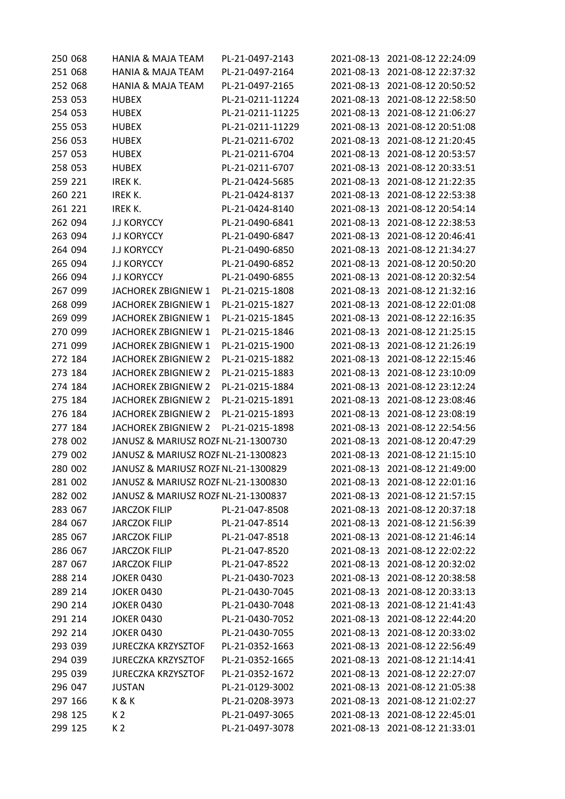| 250 068 | <b>HANIA &amp; MAJA TEAM</b>        | PL-21-0497-2143  |            | 2021-08-13 2021-08-12 22:24:09 |
|---------|-------------------------------------|------------------|------------|--------------------------------|
| 251 068 | <b>HANIA &amp; MAJA TEAM</b>        | PL-21-0497-2164  | 2021-08-13 | 2021-08-12 22:37:32            |
| 252 068 | <b>HANIA &amp; MAJA TEAM</b>        | PL-21-0497-2165  | 2021-08-13 | 2021-08-12 20:50:52            |
| 253 053 | <b>HUBEX</b>                        | PL-21-0211-11224 | 2021-08-13 | 2021-08-12 22:58:50            |
| 254 053 | <b>HUBEX</b>                        | PL-21-0211-11225 | 2021-08-13 | 2021-08-12 21:06:27            |
| 255 053 | <b>HUBEX</b>                        | PL-21-0211-11229 | 2021-08-13 | 2021-08-12 20:51:08            |
| 256 053 | <b>HUBEX</b>                        | PL-21-0211-6702  | 2021-08-13 | 2021-08-12 21:20:45            |
| 257 053 | <b>HUBEX</b>                        | PL-21-0211-6704  | 2021-08-13 | 2021-08-12 20:53:57            |
| 258 053 | <b>HUBEX</b>                        | PL-21-0211-6707  | 2021-08-13 | 2021-08-12 20:33:51            |
| 259 221 | IREK K.                             | PL-21-0424-5685  | 2021-08-13 | 2021-08-12 21:22:35            |
| 260 221 | IREK K.                             | PL-21-0424-8137  | 2021-08-13 | 2021-08-12 22:53:38            |
| 261 221 | IREK K.                             | PL-21-0424-8140  | 2021-08-13 | 2021-08-12 20:54:14            |
| 262 094 | <b>J.J KORYCCY</b>                  | PL-21-0490-6841  | 2021-08-13 | 2021-08-12 22:38:53            |
| 263 094 | <b>J.J KORYCCY</b>                  | PL-21-0490-6847  | 2021-08-13 | 2021-08-12 20:46:41            |
| 264 094 | <b>J.J KORYCCY</b>                  | PL-21-0490-6850  | 2021-08-13 | 2021-08-12 21:34:27            |
| 265 094 | <b>J.J KORYCCY</b>                  | PL-21-0490-6852  | 2021-08-13 | 2021-08-12 20:50:20            |
| 266 094 | <b>J.J KORYCCY</b>                  | PL-21-0490-6855  | 2021-08-13 | 2021-08-12 20:32:54            |
| 267 099 | JACHOREK ZBIGNIEW 1                 | PL-21-0215-1808  | 2021-08-13 | 2021-08-12 21:32:16            |
| 268 099 | JACHOREK ZBIGNIEW 1                 | PL-21-0215-1827  | 2021-08-13 | 2021-08-12 22:01:08            |
| 269 099 | JACHOREK ZBIGNIEW 1                 | PL-21-0215-1845  | 2021-08-13 | 2021-08-12 22:16:35            |
| 270 099 | JACHOREK ZBIGNIEW 1                 | PL-21-0215-1846  | 2021-08-13 | 2021-08-12 21:25:15            |
| 271 099 | <b>JACHOREK ZBIGNIEW 1</b>          | PL-21-0215-1900  | 2021-08-13 | 2021-08-12 21:26:19            |
| 272 184 | JACHOREK ZBIGNIEW 2                 | PL-21-0215-1882  | 2021-08-13 | 2021-08-12 22:15:46            |
| 273 184 | JACHOREK ZBIGNIEW 2                 | PL-21-0215-1883  | 2021-08-13 | 2021-08-12 23:10:09            |
| 274 184 | JACHOREK ZBIGNIEW 2                 | PL-21-0215-1884  | 2021-08-13 | 2021-08-12 23:12:24            |
| 275 184 | JACHOREK ZBIGNIEW 2                 | PL-21-0215-1891  | 2021-08-13 | 2021-08-12 23:08:46            |
| 276 184 | <b>JACHOREK ZBIGNIEW 2</b>          | PL-21-0215-1893  | 2021-08-13 | 2021-08-12 23:08:19            |
| 277 184 | <b>JACHOREK ZBIGNIEW 2</b>          | PL-21-0215-1898  | 2021-08-13 | 2021-08-12 22:54:56            |
| 278 002 | JANUSZ & MARIUSZ ROZF NL-21-1300730 |                  | 2021-08-13 | 2021-08-12 20:47:29            |
| 279 002 | JANUSZ & MARIUSZ ROZF NL-21-1300823 |                  | 2021-08-13 | 2021-08-12 21:15:10            |
| 280 002 | JANUSZ & MARIUSZ ROZF NL-21-1300829 |                  |            | 2021-08-13 2021-08-12 21:49:00 |
| 281 002 | JANUSZ & MARIUSZ ROZF NL-21-1300830 |                  | 2021-08-13 | 2021-08-12 22:01:16            |
| 282 002 | JANUSZ & MARIUSZ ROZF NL-21-1300837 |                  | 2021-08-13 | 2021-08-12 21:57:15            |
| 283 067 | <b>JARCZOK FILIP</b>                | PL-21-047-8508   | 2021-08-13 | 2021-08-12 20:37:18            |
| 284 067 | <b>JARCZOK FILIP</b>                | PL-21-047-8514   | 2021-08-13 | 2021-08-12 21:56:39            |
| 285 067 | <b>JARCZOK FILIP</b>                | PL-21-047-8518   | 2021-08-13 | 2021-08-12 21:46:14            |
| 286 067 | <b>JARCZOK FILIP</b>                | PL-21-047-8520   | 2021-08-13 | 2021-08-12 22:02:22            |
| 287 067 | <b>JARCZOK FILIP</b>                | PL-21-047-8522   | 2021-08-13 | 2021-08-12 20:32:02            |
| 288 214 | <b>JOKER 0430</b>                   | PL-21-0430-7023  | 2021-08-13 | 2021-08-12 20:38:58            |
| 289 214 | <b>JOKER 0430</b>                   | PL-21-0430-7045  | 2021-08-13 | 2021-08-12 20:33:13            |
| 290 214 | <b>JOKER 0430</b>                   | PL-21-0430-7048  | 2021-08-13 | 2021-08-12 21:41:43            |
| 291 214 | <b>JOKER 0430</b>                   | PL-21-0430-7052  | 2021-08-13 | 2021-08-12 22:44:20            |
| 292 214 | <b>JOKER 0430</b>                   | PL-21-0430-7055  | 2021-08-13 | 2021-08-12 20:33:02            |
| 293 039 | <b>JURECZKA KRZYSZTOF</b>           | PL-21-0352-1663  | 2021-08-13 | 2021-08-12 22:56:49            |
| 294 039 | <b>JURECZKA KRZYSZTOF</b>           | PL-21-0352-1665  | 2021-08-13 | 2021-08-12 21:14:41            |
| 295 039 | <b>JURECZKA KRZYSZTOF</b>           | PL-21-0352-1672  | 2021-08-13 | 2021-08-12 22:27:07            |
| 296 047 | <b>JUSTAN</b>                       | PL-21-0129-3002  | 2021-08-13 | 2021-08-12 21:05:38            |
| 297 166 | K&K                                 | PL-21-0208-3973  | 2021-08-13 | 2021-08-12 21:02:27            |
| 298 125 | K <sub>2</sub>                      | PL-21-0497-3065  | 2021-08-13 | 2021-08-12 22:45:01            |
| 299 125 | K <sub>2</sub>                      | PL-21-0497-3078  |            | 2021-08-13 2021-08-12 21:33:01 |
|         |                                     |                  |            |                                |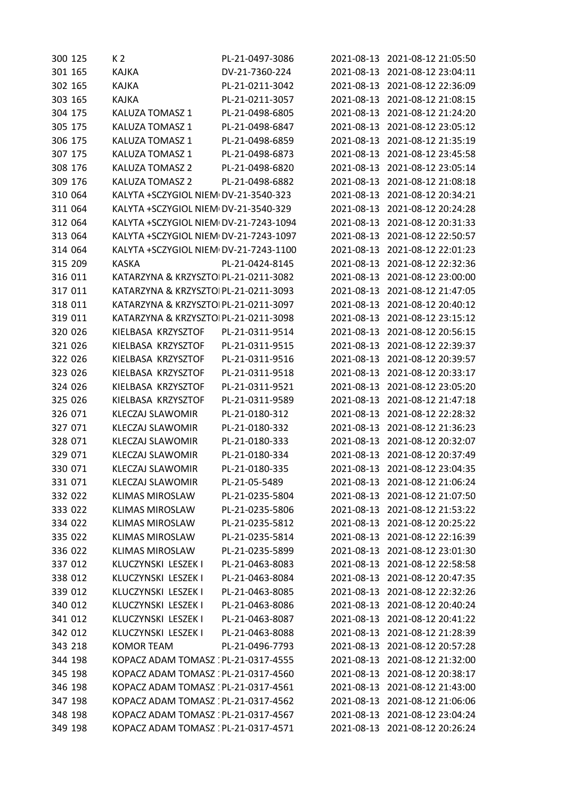| 300 125 | K 2                                   | PL-21-0497-3086 |            | 2021-08-13 2021-08-12 21:05:50 |
|---------|---------------------------------------|-----------------|------------|--------------------------------|
| 301 165 | KAJKA                                 | DV-21-7360-224  | 2021-08-13 | 2021-08-12 23:04:11            |
| 302 165 | <b>KAJKA</b>                          | PL-21-0211-3042 | 2021-08-13 | 2021-08-12 22:36:09            |
| 303 165 | <b>KAJKA</b>                          | PL-21-0211-3057 | 2021-08-13 | 2021-08-12 21:08:15            |
| 304 175 | KALUZA TOMASZ 1                       | PL-21-0498-6805 | 2021-08-13 | 2021-08-12 21:24:20            |
| 305 175 | KALUZA TOMASZ 1                       | PL-21-0498-6847 | 2021-08-13 | 2021-08-12 23:05:12            |
| 306 175 | KALUZA TOMASZ 1                       | PL-21-0498-6859 | 2021-08-13 | 2021-08-12 21:35:19            |
| 307 175 | KALUZA TOMASZ 1                       | PL-21-0498-6873 | 2021-08-13 | 2021-08-12 23:45:58            |
| 308 176 | KALUZA TOMASZ 2                       | PL-21-0498-6820 | 2021-08-13 | 2021-08-12 23:05:14            |
| 309 176 | <b>KALUZA TOMASZ 2</b>                | PL-21-0498-6882 | 2021-08-13 | 2021-08-12 21:08:18            |
| 310 064 | KALYTA +SCZYGIOL NIEM DV-21-3540-323  |                 | 2021-08-13 | 2021-08-12 20:34:21            |
| 311 064 | KALYTA +SCZYGIOL NIEM DV-21-3540-329  |                 | 2021-08-13 | 2021-08-12 20:24:28            |
| 312 064 | KALYTA +SCZYGIOL NIEM DV-21-7243-1094 |                 | 2021-08-13 | 2021-08-12 20:31:33            |
| 313 064 | KALYTA +SCZYGIOL NIEM DV-21-7243-1097 |                 | 2021-08-13 | 2021-08-12 22:50:57            |
| 314 064 | KALYTA +SCZYGIOL NIEM DV-21-7243-1100 |                 | 2021-08-13 | 2021-08-12 22:01:23            |
| 315 209 | <b>KASKA</b>                          | PL-21-0424-8145 | 2021-08-13 | 2021-08-12 22:32:36            |
| 316 011 | KATARZYNA & KRZYSZTOIPL-21-0211-3082  |                 | 2021-08-13 | 2021-08-12 23:00:00            |
| 317 011 | KATARZYNA & KRZYSZTOIPL-21-0211-3093  |                 | 2021-08-13 | 2021-08-12 21:47:05            |
| 318 011 | KATARZYNA & KRZYSZTOIPL-21-0211-3097  |                 | 2021-08-13 | 2021-08-12 20:40:12            |
| 319 011 | KATARZYNA & KRZYSZTOIPL-21-0211-3098  |                 | 2021-08-13 | 2021-08-12 23:15:12            |
| 320 026 | KIELBASA KRZYSZTOF                    | PL-21-0311-9514 | 2021-08-13 | 2021-08-12 20:56:15            |
| 321 026 | KIELBASA KRZYSZTOF                    | PL-21-0311-9515 | 2021-08-13 | 2021-08-12 22:39:37            |
| 322 026 | KIELBASA KRZYSZTOF                    | PL-21-0311-9516 | 2021-08-13 | 2021-08-12 20:39:57            |
| 323 026 | KIELBASA KRZYSZTOF                    | PL-21-0311-9518 | 2021-08-13 | 2021-08-12 20:33:17            |
| 324 026 | KIELBASA KRZYSZTOF                    | PL-21-0311-9521 | 2021-08-13 | 2021-08-12 23:05:20            |
| 325 026 | KIELBASA KRZYSZTOF                    | PL-21-0311-9589 | 2021-08-13 | 2021-08-12 21:47:18            |
| 326 071 | <b>KLECZAJ SLAWOMIR</b>               | PL-21-0180-312  | 2021-08-13 | 2021-08-12 22:28:32            |
| 327 071 | <b>KLECZAJ SLAWOMIR</b>               | PL-21-0180-332  | 2021-08-13 | 2021-08-12 21:36:23            |
| 328 071 | <b>KLECZAJ SLAWOMIR</b>               | PL-21-0180-333  | 2021-08-13 | 2021-08-12 20:32:07            |
| 329 071 | <b>KLECZAJ SLAWOMIR</b>               | PL-21-0180-334  | 2021-08-13 | 2021-08-12 20:37:49            |
| 330 071 | KLECZAJ SLAWOMIR                      | PL-21-0180-335  |            | 2021-08-13 2021-08-12 23:04:35 |
| 331 071 | <b>KLECZAJ SLAWOMIR</b>               | PL-21-05-5489   |            | 2021-08-13 2021-08-12 21:06:24 |
| 332 022 | <b>KLIMAS MIROSLAW</b>                | PL-21-0235-5804 | 2021-08-13 | 2021-08-12 21:07:50            |
| 333 022 | <b>KLIMAS MIROSLAW</b>                | PL-21-0235-5806 |            | 2021-08-13 2021-08-12 21:53:22 |
| 334 022 | <b>KLIMAS MIROSLAW</b>                | PL-21-0235-5812 | 2021-08-13 | 2021-08-12 20:25:22            |
| 335 022 | <b>KLIMAS MIROSLAW</b>                | PL-21-0235-5814 | 2021-08-13 | 2021-08-12 22:16:39            |
| 336 022 | <b>KLIMAS MIROSLAW</b>                | PL-21-0235-5899 | 2021-08-13 | 2021-08-12 23:01:30            |
| 337 012 | KLUCZYNSKI LESZEK I                   | PL-21-0463-8083 | 2021-08-13 | 2021-08-12 22:58:58            |
| 338 012 | KLUCZYNSKI LESZEK I                   | PL-21-0463-8084 | 2021-08-13 | 2021-08-12 20:47:35            |
| 339 012 | KLUCZYNSKI LESZEK I                   | PL-21-0463-8085 | 2021-08-13 | 2021-08-12 22:32:26            |
| 340 012 | KLUCZYNSKI LESZEK I                   | PL-21-0463-8086 | 2021-08-13 | 2021-08-12 20:40:24            |
| 341 012 | KLUCZYNSKI LESZEK I                   | PL-21-0463-8087 | 2021-08-13 | 2021-08-12 20:41:22            |
| 342 012 | KLUCZYNSKI LESZEK I                   | PL-21-0463-8088 | 2021-08-13 | 2021-08-12 21:28:39            |
| 343 218 | <b>KOMOR TEAM</b>                     | PL-21-0496-7793 | 2021-08-13 | 2021-08-12 20:57:28            |
| 344 198 | KOPACZ ADAM TOMASZ : PL-21-0317-4555  |                 | 2021-08-13 | 2021-08-12 21:32:00            |
| 345 198 | KOPACZ ADAM TOMASZ : PL-21-0317-4560  |                 | 2021-08-13 | 2021-08-12 20:38:17            |
| 346 198 | KOPACZ ADAM TOMASZ 1PL-21-0317-4561   |                 | 2021-08-13 | 2021-08-12 21:43:00            |
| 347 198 | KOPACZ ADAM TOMASZ : PL-21-0317-4562  |                 | 2021-08-13 | 2021-08-12 21:06:06            |
| 348 198 | KOPACZ ADAM TOMASZ : PL-21-0317-4567  |                 |            | 2021-08-13 2021-08-12 23:04:24 |
| 349 198 | KOPACZ ADAM TOMASZ : PL-21-0317-4571  |                 |            | 2021-08-13 2021-08-12 20:26:24 |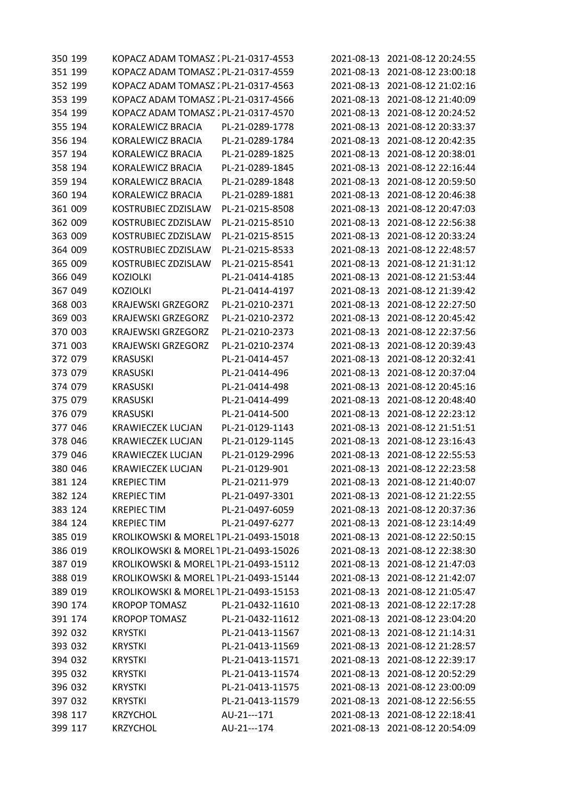| 350 199 | KOPACZ ADAM TOMASZ : PL-21-0317-4553  |                  |            | 2021-08-13 2021-08-12 20:24:55 |
|---------|---------------------------------------|------------------|------------|--------------------------------|
| 351 199 | KOPACZ ADAM TOMASZ . PL-21-0317-4559  |                  | 2021-08-13 | 2021-08-12 23:00:18            |
| 352 199 | KOPACZ ADAM TOMASZ : PL-21-0317-4563  |                  | 2021-08-13 | 2021-08-12 21:02:16            |
| 353 199 | KOPACZ ADAM TOMASZ : PL-21-0317-4566  |                  | 2021-08-13 | 2021-08-12 21:40:09            |
| 354 199 | KOPACZ ADAM TOMASZ : PL-21-0317-4570  |                  | 2021-08-13 | 2021-08-12 20:24:52            |
| 355 194 | KORALEWICZ BRACIA                     | PL-21-0289-1778  | 2021-08-13 | 2021-08-12 20:33:37            |
| 356 194 | KORALEWICZ BRACIA                     | PL-21-0289-1784  | 2021-08-13 | 2021-08-12 20:42:35            |
| 357 194 | KORALEWICZ BRACIA                     | PL-21-0289-1825  | 2021-08-13 | 2021-08-12 20:38:01            |
| 358 194 | KORALEWICZ BRACIA                     | PL-21-0289-1845  | 2021-08-13 | 2021-08-12 22:16:44            |
| 359 194 | KORALEWICZ BRACIA                     | PL-21-0289-1848  | 2021-08-13 | 2021-08-12 20:59:50            |
| 360 194 | KORALEWICZ BRACIA                     | PL-21-0289-1881  | 2021-08-13 | 2021-08-12 20:46:38            |
| 361 009 | KOSTRUBIEC ZDZISLAW                   | PL-21-0215-8508  | 2021-08-13 | 2021-08-12 20:47:03            |
| 362 009 | KOSTRUBIEC ZDZISLAW                   | PL-21-0215-8510  | 2021-08-13 | 2021-08-12 22:56:38            |
| 363 009 | KOSTRUBIEC ZDZISLAW                   | PL-21-0215-8515  | 2021-08-13 | 2021-08-12 20:33:24            |
| 364 009 | KOSTRUBIEC ZDZISLAW                   | PL-21-0215-8533  | 2021-08-13 | 2021-08-12 22:48:57            |
| 365 009 | KOSTRUBIEC ZDZISLAW                   | PL-21-0215-8541  | 2021-08-13 | 2021-08-12 21:31:12            |
| 366 049 | <b>KOZIOLKI</b>                       | PL-21-0414-4185  | 2021-08-13 | 2021-08-12 21:53:44            |
| 367 049 | <b>KOZIOLKI</b>                       | PL-21-0414-4197  | 2021-08-13 | 2021-08-12 21:39:42            |
| 368 003 | <b>KRAJEWSKI GRZEGORZ</b>             | PL-21-0210-2371  | 2021-08-13 | 2021-08-12 22:27:50            |
| 369 003 | <b>KRAJEWSKI GRZEGORZ</b>             | PL-21-0210-2372  | 2021-08-13 | 2021-08-12 20:45:42            |
| 370 003 | <b>KRAJEWSKI GRZEGORZ</b>             | PL-21-0210-2373  | 2021-08-13 | 2021-08-12 22:37:56            |
| 371 003 | <b>KRAJEWSKI GRZEGORZ</b>             | PL-21-0210-2374  | 2021-08-13 | 2021-08-12 20:39:43            |
| 372 079 | <b>KRASUSKI</b>                       | PL-21-0414-457   | 2021-08-13 | 2021-08-12 20:32:41            |
| 373 079 | <b>KRASUSKI</b>                       | PL-21-0414-496   | 2021-08-13 | 2021-08-12 20:37:04            |
| 374 079 | <b>KRASUSKI</b>                       | PL-21-0414-498   | 2021-08-13 | 2021-08-12 20:45:16            |
| 375 079 | <b>KRASUSKI</b>                       | PL-21-0414-499   | 2021-08-13 | 2021-08-12 20:48:40            |
| 376 079 | <b>KRASUSKI</b>                       | PL-21-0414-500   | 2021-08-13 | 2021-08-12 22:23:12            |
| 377 046 | <b>KRAWIECZEK LUCJAN</b>              | PL-21-0129-1143  | 2021-08-13 | 2021-08-12 21:51:51            |
| 378 046 | <b>KRAWIECZEK LUCJAN</b>              | PL-21-0129-1145  | 2021-08-13 | 2021-08-12 23:16:43            |
| 379 046 | <b>KRAWIECZEK LUCJAN</b>              | PL-21-0129-2996  | 2021-08-13 | 2021-08-12 22:55:53            |
| 380 046 | <b>KRAWIECZEK LUCJAN</b>              | PL-21-0129-901   |            | 2021-08-13 2021-08-12 22:23:58 |
| 381 124 | <b>KREPIEC TIM</b>                    | PL-21-0211-979   |            | 2021-08-13 2021-08-12 21:40:07 |
| 382 124 | <b>KREPIEC TIM</b>                    | PL-21-0497-3301  | 2021-08-13 | 2021-08-12 21:22:55            |
| 383 124 | <b>KREPIEC TIM</b>                    | PL-21-0497-6059  | 2021-08-13 | 2021-08-12 20:37:36            |
| 384 124 | <b>KREPIEC TIM</b>                    | PL-21-0497-6277  | 2021-08-13 | 2021-08-12 23:14:49            |
| 385 019 | KROLIKOWSKI & MOREL 1PL-21-0493-15018 |                  |            | 2021-08-13 2021-08-12 22:50:15 |
| 386 019 | KROLIKOWSKI & MOREL 1PL-21-0493-15026 |                  | 2021-08-13 | 2021-08-12 22:38:30            |
| 387 019 | KROLIKOWSKI & MOREL 1PL-21-0493-15112 |                  | 2021-08-13 | 2021-08-12 21:47:03            |
| 388 019 | KROLIKOWSKI & MOREL 1PL-21-0493-15144 |                  | 2021-08-13 | 2021-08-12 21:42:07            |
| 389 019 | KROLIKOWSKI & MOREL 1PL-21-0493-15153 |                  | 2021-08-13 | 2021-08-12 21:05:47            |
| 390 174 | <b>KROPOP TOMASZ</b>                  | PL-21-0432-11610 |            | 2021-08-13 2021-08-12 22:17:28 |
| 391 174 | <b>KROPOP TOMASZ</b>                  | PL-21-0432-11612 | 2021-08-13 | 2021-08-12 23:04:20            |
| 392 032 | <b>KRYSTKI</b>                        | PL-21-0413-11567 | 2021-08-13 | 2021-08-12 21:14:31            |
| 393 032 | <b>KRYSTKI</b>                        | PL-21-0413-11569 | 2021-08-13 | 2021-08-12 21:28:57            |
| 394 032 | <b>KRYSTKI</b>                        | PL-21-0413-11571 | 2021-08-13 | 2021-08-12 22:39:17            |
| 395 032 | <b>KRYSTKI</b>                        | PL-21-0413-11574 | 2021-08-13 | 2021-08-12 20:52:29            |
| 396 032 | <b>KRYSTKI</b>                        | PL-21-0413-11575 | 2021-08-13 | 2021-08-12 23:00:09            |
| 397 032 | <b>KRYSTKI</b>                        | PL-21-0413-11579 | 2021-08-13 | 2021-08-12 22:56:55            |
| 398 117 | <b>KRZYCHOL</b>                       | AU-21---171      | 2021-08-13 | 2021-08-12 22:18:41            |
| 399 117 | <b>KRZYCHOL</b>                       | AU-21---174      |            | 2021-08-13 2021-08-12 20:54:09 |
|         |                                       |                  |            |                                |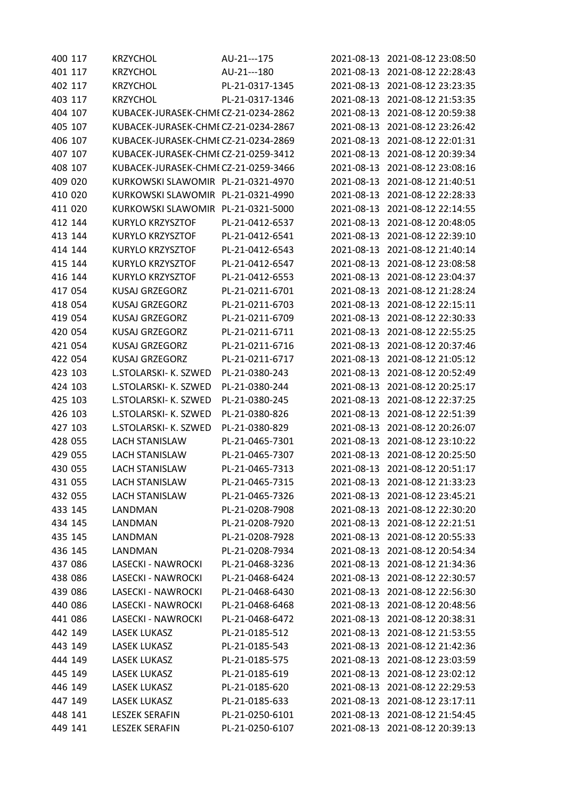| 400 117 | <b>KRZYCHOL</b>                      | AU-21---175     |            | 2021-08-13 2021-08-12 23:08:50 |
|---------|--------------------------------------|-----------------|------------|--------------------------------|
| 401 117 | <b>KRZYCHOL</b>                      | AU-21---180     | 2021-08-13 | 2021-08-12 22:28:43            |
| 402 117 | <b>KRZYCHOL</b>                      | PL-21-0317-1345 | 2021-08-13 | 2021-08-12 23:23:35            |
| 403 117 | <b>KRZYCHOL</b>                      | PL-21-0317-1346 | 2021-08-13 | 2021-08-12 21:53:35            |
| 404 107 | KUBACEK-JURASEK-CHMI CZ-21-0234-2862 |                 | 2021-08-13 | 2021-08-12 20:59:38            |
| 405 107 | KUBACEK-JURASEK-CHMI CZ-21-0234-2867 |                 | 2021-08-13 | 2021-08-12 23:26:42            |
| 406 107 | KUBACEK-JURASEK-CHMI CZ-21-0234-2869 |                 | 2021-08-13 | 2021-08-12 22:01:31            |
| 407 107 | KUBACEK-JURASEK-CHMI CZ-21-0259-3412 |                 | 2021-08-13 | 2021-08-12 20:39:34            |
| 408 107 | KUBACEK-JURASEK-CHMI CZ-21-0259-3466 |                 | 2021-08-13 | 2021-08-12 23:08:16            |
| 409 020 | KURKOWSKI SLAWOMIR PL-21-0321-4970   |                 | 2021-08-13 | 2021-08-12 21:40:51            |
| 410 020 | KURKOWSKI SLAWOMIR PL-21-0321-4990   |                 | 2021-08-13 | 2021-08-12 22:28:33            |
| 411 020 | KURKOWSKI SLAWOMIR PL-21-0321-5000   |                 | 2021-08-13 | 2021-08-12 22:14:55            |
| 412 144 | <b>KURYLO KRZYSZTOF</b>              | PL-21-0412-6537 | 2021-08-13 | 2021-08-12 20:48:05            |
| 413 144 | <b>KURYLO KRZYSZTOF</b>              | PL-21-0412-6541 | 2021-08-13 | 2021-08-12 22:39:10            |
| 414 144 | <b>KURYLO KRZYSZTOF</b>              | PL-21-0412-6543 | 2021-08-13 | 2021-08-12 21:40:14            |
| 415 144 | <b>KURYLO KRZYSZTOF</b>              | PL-21-0412-6547 | 2021-08-13 | 2021-08-12 23:08:58            |
| 416 144 | KURYLO KRZYSZTOF                     | PL-21-0412-6553 | 2021-08-13 | 2021-08-12 23:04:37            |
| 417 054 | <b>KUSAJ GRZEGORZ</b>                | PL-21-0211-6701 | 2021-08-13 | 2021-08-12 21:28:24            |
| 418 054 | <b>KUSAJ GRZEGORZ</b>                | PL-21-0211-6703 | 2021-08-13 | 2021-08-12 22:15:11            |
| 419 054 | <b>KUSAJ GRZEGORZ</b>                | PL-21-0211-6709 | 2021-08-13 | 2021-08-12 22:30:33            |
| 420 054 | <b>KUSAJ GRZEGORZ</b>                | PL-21-0211-6711 | 2021-08-13 | 2021-08-12 22:55:25            |
| 421 054 | <b>KUSAJ GRZEGORZ</b>                | PL-21-0211-6716 | 2021-08-13 | 2021-08-12 20:37:46            |
| 422 054 | <b>KUSAJ GRZEGORZ</b>                | PL-21-0211-6717 | 2021-08-13 | 2021-08-12 21:05:12            |
| 423 103 | L.STOLARSKI- K. SZWED                | PL-21-0380-243  | 2021-08-13 | 2021-08-12 20:52:49            |
| 424 103 | L.STOLARSKI- K. SZWED                | PL-21-0380-244  | 2021-08-13 | 2021-08-12 20:25:17            |
| 425 103 | L.STOLARSKI- K. SZWED                | PL-21-0380-245  | 2021-08-13 | 2021-08-12 22:37:25            |
| 426 103 | L.STOLARSKI- K. SZWED                | PL-21-0380-826  | 2021-08-13 | 2021-08-12 22:51:39            |
| 427 103 | L.STOLARSKI- K. SZWED                | PL-21-0380-829  | 2021-08-13 | 2021-08-12 20:26:07            |
| 428 055 | <b>LACH STANISLAW</b>                | PL-21-0465-7301 | 2021-08-13 | 2021-08-12 23:10:22            |
| 429 055 | <b>LACH STANISLAW</b>                | PL-21-0465-7307 | 2021-08-13 | 2021-08-12 20:25:50            |
| 430 055 | <b>LACH STANISLAW</b>                | PL-21-0465-7313 |            | 2021-08-13 2021-08-12 20:51:17 |
| 431 055 | <b>LACH STANISLAW</b>                | PL-21-0465-7315 | 2021-08-13 | 2021-08-12 21:33:23            |
| 432 055 | <b>LACH STANISLAW</b>                | PL-21-0465-7326 | 2021-08-13 | 2021-08-12 23:45:21            |
| 433 145 | LANDMAN                              | PL-21-0208-7908 | 2021-08-13 | 2021-08-12 22:30:20            |
| 434 145 | LANDMAN                              | PL-21-0208-7920 | 2021-08-13 | 2021-08-12 22:21:51            |
| 435 145 | LANDMAN                              | PL-21-0208-7928 | 2021-08-13 | 2021-08-12 20:55:33            |
| 436 145 | LANDMAN                              | PL-21-0208-7934 | 2021-08-13 | 2021-08-12 20:54:34            |
| 437 086 | LASECKI - NAWROCKI                   | PL-21-0468-3236 | 2021-08-13 | 2021-08-12 21:34:36            |
| 438 086 | LASECKI - NAWROCKI                   | PL-21-0468-6424 | 2021-08-13 | 2021-08-12 22:30:57            |
| 439 086 | LASECKI - NAWROCKI                   | PL-21-0468-6430 | 2021-08-13 | 2021-08-12 22:56:30            |
| 440 086 | LASECKI - NAWROCKI                   | PL-21-0468-6468 | 2021-08-13 | 2021-08-12 20:48:56            |
| 441 086 | LASECKI - NAWROCKI                   | PL-21-0468-6472 | 2021-08-13 | 2021-08-12 20:38:31            |
| 442 149 | <b>LASEK LUKASZ</b>                  | PL-21-0185-512  | 2021-08-13 | 2021-08-12 21:53:55            |
| 443 149 | <b>LASEK LUKASZ</b>                  | PL-21-0185-543  | 2021-08-13 | 2021-08-12 21:42:36            |
| 444 149 | <b>LASEK LUKASZ</b>                  | PL-21-0185-575  | 2021-08-13 | 2021-08-12 23:03:59            |
| 445 149 | <b>LASEK LUKASZ</b>                  | PL-21-0185-619  | 2021-08-13 | 2021-08-12 23:02:12            |
| 446 149 | <b>LASEK LUKASZ</b>                  | PL-21-0185-620  | 2021-08-13 | 2021-08-12 22:29:53            |
| 447 149 | <b>LASEK LUKASZ</b>                  | PL-21-0185-633  | 2021-08-13 | 2021-08-12 23:17:11            |
| 448 141 | <b>LESZEK SERAFIN</b>                | PL-21-0250-6101 | 2021-08-13 | 2021-08-12 21:54:45            |
| 449 141 | <b>LESZEK SERAFIN</b>                | PL-21-0250-6107 | 2021-08-13 | 2021-08-12 20:39:13            |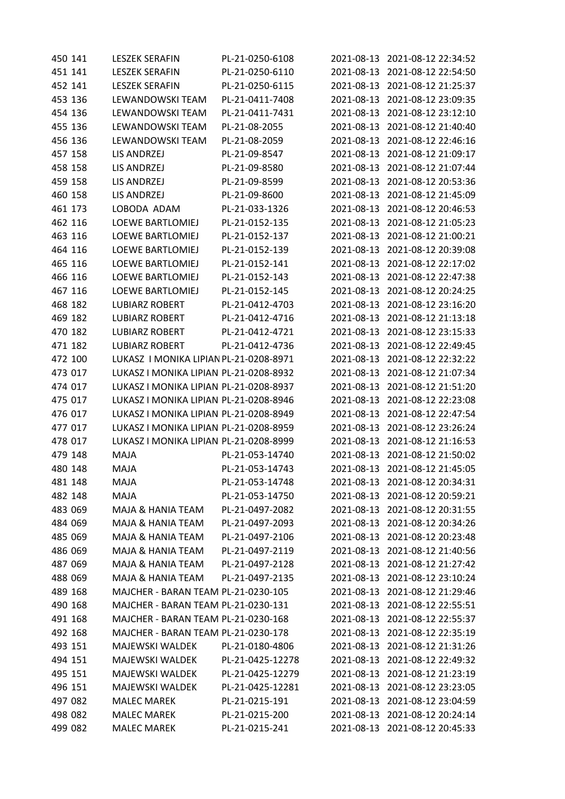| 450 141 | <b>LESZEK SERAFIN</b>                  | PL-21-0250-6108  |            | 2021-08-13 2021-08-12 22:34:52 |
|---------|----------------------------------------|------------------|------------|--------------------------------|
| 451 141 | <b>LESZEK SERAFIN</b>                  | PL-21-0250-6110  | 2021-08-13 | 2021-08-12 22:54:50            |
| 452 141 | <b>LESZEK SERAFIN</b>                  | PL-21-0250-6115  | 2021-08-13 | 2021-08-12 21:25:37            |
| 453 136 | LEWANDOWSKI TEAM                       | PL-21-0411-7408  | 2021-08-13 | 2021-08-12 23:09:35            |
| 454 136 | LEWANDOWSKI TEAM                       | PL-21-0411-7431  | 2021-08-13 | 2021-08-12 23:12:10            |
| 455 136 | LEWANDOWSKI TEAM                       | PL-21-08-2055    | 2021-08-13 | 2021-08-12 21:40:40            |
| 456 136 | LEWANDOWSKI TEAM                       | PL-21-08-2059    | 2021-08-13 | 2021-08-12 22:46:16            |
| 457 158 | LIS ANDRZEJ                            | PL-21-09-8547    | 2021-08-13 | 2021-08-12 21:09:17            |
| 458 158 | LIS ANDRZEJ                            | PL-21-09-8580    | 2021-08-13 | 2021-08-12 21:07:44            |
| 459 158 | <b>LIS ANDRZEJ</b>                     | PL-21-09-8599    | 2021-08-13 | 2021-08-12 20:53:36            |
| 460 158 | LIS ANDRZEJ                            | PL-21-09-8600    | 2021-08-13 | 2021-08-12 21:45:09            |
| 461 173 | LOBODA ADAM                            | PL-21-033-1326   | 2021-08-13 | 2021-08-12 20:46:53            |
| 462 116 | <b>LOEWE BARTLOMIEJ</b>                | PL-21-0152-135   | 2021-08-13 | 2021-08-12 21:05:23            |
| 463 116 | <b>LOEWE BARTLOMIEJ</b>                | PL-21-0152-137   | 2021-08-13 | 2021-08-12 21:00:21            |
| 464 116 | <b>LOEWE BARTLOMIEJ</b>                | PL-21-0152-139   | 2021-08-13 | 2021-08-12 20:39:08            |
| 465 116 | <b>LOEWE BARTLOMIEJ</b>                | PL-21-0152-141   | 2021-08-13 | 2021-08-12 22:17:02            |
| 466 116 | <b>LOEWE BARTLOMIEJ</b>                | PL-21-0152-143   | 2021-08-13 | 2021-08-12 22:47:38            |
| 467 116 | <b>LOEWE BARTLOMIEJ</b>                | PL-21-0152-145   | 2021-08-13 | 2021-08-12 20:24:25            |
| 468 182 | <b>LUBIARZ ROBERT</b>                  | PL-21-0412-4703  | 2021-08-13 | 2021-08-12 23:16:20            |
| 469 182 | <b>LUBIARZ ROBERT</b>                  | PL-21-0412-4716  | 2021-08-13 | 2021-08-12 21:13:18            |
| 470 182 | <b>LUBIARZ ROBERT</b>                  | PL-21-0412-4721  | 2021-08-13 | 2021-08-12 23:15:33            |
| 471 182 | <b>LUBIARZ ROBERT</b>                  | PL-21-0412-4736  | 2021-08-13 | 2021-08-12 22:49:45            |
| 472 100 | LUKASZ I MONIKA LIPIAN PL-21-0208-8971 |                  | 2021-08-13 | 2021-08-12 22:32:22            |
| 473 017 | LUKASZ I MONIKA LIPIAN PL-21-0208-8932 |                  | 2021-08-13 | 2021-08-12 21:07:34            |
| 474 017 | LUKASZ I MONIKA LIPIAN PL-21-0208-8937 |                  | 2021-08-13 | 2021-08-12 21:51:20            |
| 475 017 | LUKASZ I MONIKA LIPIAN PL-21-0208-8946 |                  | 2021-08-13 | 2021-08-12 22:23:08            |
| 476 017 | LUKASZ I MONIKA LIPIAN PL-21-0208-8949 |                  | 2021-08-13 | 2021-08-12 22:47:54            |
| 477 017 | LUKASZ I MONIKA LIPIAN PL-21-0208-8959 |                  | 2021-08-13 | 2021-08-12 23:26:24            |
| 478 017 | LUKASZ I MONIKA LIPIAN PL-21-0208-8999 |                  | 2021-08-13 | 2021-08-12 21:16:53            |
| 479 148 | MAJA                                   | PL-21-053-14740  | 2021-08-13 | 2021-08-12 21:50:02            |
| 480 148 | MAJA                                   | PL-21-053-14743  |            | 2021-08-13 2021-08-12 21:45:05 |
| 481 148 | MAJA                                   | PL-21-053-14748  |            | 2021-08-13 2021-08-12 20:34:31 |
| 482 148 | <b>MAJA</b>                            | PL-21-053-14750  | 2021-08-13 | 2021-08-12 20:59:21            |
| 483 069 | MAJA & HANIA TEAM                      | PL-21-0497-2082  |            | 2021-08-13 2021-08-12 20:31:55 |
| 484 069 | MAJA & HANIA TEAM                      | PL-21-0497-2093  |            | 2021-08-13 2021-08-12 20:34:26 |
| 485 069 | MAJA & HANIA TEAM                      | PL-21-0497-2106  |            | 2021-08-13 2021-08-12 20:23:48 |
| 486 069 | MAJA & HANIA TEAM                      | PL-21-0497-2119  | 2021-08-13 | 2021-08-12 21:40:56            |
| 487 069 | <b>MAJA &amp; HANIA TEAM</b>           | PL-21-0497-2128  | 2021-08-13 | 2021-08-12 21:27:42            |
| 488 069 | MAJA & HANIA TEAM                      | PL-21-0497-2135  | 2021-08-13 | 2021-08-12 23:10:24            |
| 489 168 | MAJCHER - BARAN TEAM PL-21-0230-105    |                  | 2021-08-13 | 2021-08-12 21:29:46            |
| 490 168 | MAJCHER - BARAN TEAM PL-21-0230-131    |                  | 2021-08-13 | 2021-08-12 22:55:51            |
| 491 168 | MAJCHER - BARAN TEAM PL-21-0230-168    |                  | 2021-08-13 | 2021-08-12 22:55:37            |
| 492 168 | MAJCHER - BARAN TEAM PL-21-0230-178    |                  | 2021-08-13 | 2021-08-12 22:35:19            |
| 493 151 | <b>MAJEWSKI WALDEK</b>                 | PL-21-0180-4806  | 2021-08-13 | 2021-08-12 21:31:26            |
| 494 151 | <b>MAJEWSKI WALDEK</b>                 | PL-21-0425-12278 | 2021-08-13 | 2021-08-12 22:49:32            |
| 495 151 | <b>MAJEWSKI WALDEK</b>                 | PL-21-0425-12279 | 2021-08-13 | 2021-08-12 21:23:19            |
| 496 151 | MAJEWSKI WALDEK                        | PL-21-0425-12281 | 2021-08-13 | 2021-08-12 23:23:05            |
| 497 082 | <b>MALEC MAREK</b>                     | PL-21-0215-191   | 2021-08-13 | 2021-08-12 23:04:59            |
| 498 082 | <b>MALEC MAREK</b>                     | PL-21-0215-200   |            | 2021-08-13 2021-08-12 20:24:14 |
| 499 082 | <b>MALEC MAREK</b>                     | PL-21-0215-241   |            | 2021-08-13 2021-08-12 20:45:33 |
|         |                                        |                  |            |                                |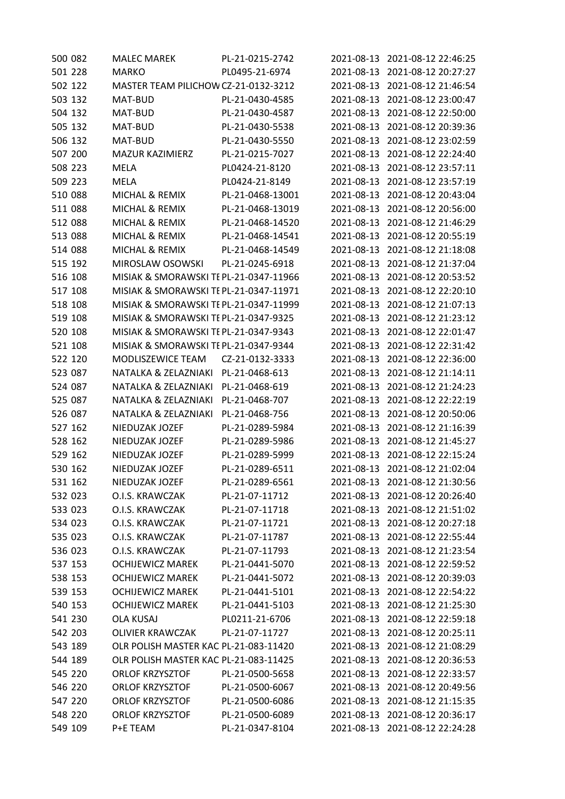| 500 082 | <b>MALEC MAREK</b>                    | PL-21-0215-2742  |            | 2021-08-13 2021-08-12 22:46:25 |
|---------|---------------------------------------|------------------|------------|--------------------------------|
| 501 228 | <b>MARKO</b>                          | PL0495-21-6974   | 2021-08-13 | 2021-08-12 20:27:27            |
| 502 122 | MASTER TEAM PILICHOW CZ-21-0132-3212  |                  | 2021-08-13 | 2021-08-12 21:46:54            |
| 503 132 | MAT-BUD                               | PL-21-0430-4585  | 2021-08-13 | 2021-08-12 23:00:47            |
| 504 132 | MAT-BUD                               | PL-21-0430-4587  | 2021-08-13 | 2021-08-12 22:50:00            |
| 505 132 | MAT-BUD                               | PL-21-0430-5538  | 2021-08-13 | 2021-08-12 20:39:36            |
| 506 132 | MAT-BUD                               | PL-21-0430-5550  | 2021-08-13 | 2021-08-12 23:02:59            |
| 507 200 | <b>MAZUR KAZIMIERZ</b>                | PL-21-0215-7027  | 2021-08-13 | 2021-08-12 22:24:40            |
| 508 223 | MELA                                  | PL0424-21-8120   | 2021-08-13 | 2021-08-12 23:57:11            |
| 509 223 | <b>MELA</b>                           | PL0424-21-8149   | 2021-08-13 | 2021-08-12 23:57:19            |
| 510 088 | <b>MICHAL &amp; REMIX</b>             | PL-21-0468-13001 | 2021-08-13 | 2021-08-12 20:43:04            |
| 511 088 | MICHAL & REMIX                        | PL-21-0468-13019 | 2021-08-13 | 2021-08-12 20:56:00            |
| 512 088 | MICHAL & REMIX                        | PL-21-0468-14520 | 2021-08-13 | 2021-08-12 21:46:29            |
| 513 088 | MICHAL & REMIX                        | PL-21-0468-14541 | 2021-08-13 | 2021-08-12 20:55:19            |
| 514 088 | <b>MICHAL &amp; REMIX</b>             | PL-21-0468-14549 | 2021-08-13 | 2021-08-12 21:18:08            |
| 515 192 | MIROSLAW OSOWSKI                      | PL-21-0245-6918  | 2021-08-13 | 2021-08-12 21:37:04            |
| 516 108 | MISIAK & SMORAWSKI TEPL-21-0347-11966 |                  | 2021-08-13 | 2021-08-12 20:53:52            |
| 517 108 | MISIAK & SMORAWSKI TEPL-21-0347-11971 |                  | 2021-08-13 | 2021-08-12 22:20:10            |
| 518 108 | MISIAK & SMORAWSKI TEPL-21-0347-11999 |                  | 2021-08-13 | 2021-08-12 21:07:13            |
| 519 108 | MISIAK & SMORAWSKI TEPL-21-0347-9325  |                  | 2021-08-13 | 2021-08-12 21:23:12            |
| 520 108 | MISIAK & SMORAWSKI TEPL-21-0347-9343  |                  | 2021-08-13 | 2021-08-12 22:01:47            |
| 521 108 | MISIAK & SMORAWSKI TEPL-21-0347-9344  |                  | 2021-08-13 | 2021-08-12 22:31:42            |
| 522 120 | MODLISZEWICE TEAM                     | CZ-21-0132-3333  | 2021-08-13 | 2021-08-12 22:36:00            |
| 523 087 | NATALKA & ZELAZNIAKI                  | PL-21-0468-613   | 2021-08-13 | 2021-08-12 21:14:11            |
| 524 087 | NATALKA & ZELAZNIAKI                  | PL-21-0468-619   | 2021-08-13 | 2021-08-12 21:24:23            |
| 525 087 | NATALKA & ZELAZNIAKI                  | PL-21-0468-707   | 2021-08-13 | 2021-08-12 22:22:19            |
| 526 087 | NATALKA & ZELAZNIAKI                  | PL-21-0468-756   | 2021-08-13 | 2021-08-12 20:50:06            |
| 527 162 | NIEDUZAK JOZEF                        | PL-21-0289-5984  | 2021-08-13 | 2021-08-12 21:16:39            |
| 528 162 | NIEDUZAK JOZEF                        | PL-21-0289-5986  | 2021-08-13 | 2021-08-12 21:45:27            |
| 529 162 | NIEDUZAK JOZEF                        | PL-21-0289-5999  | 2021-08-13 | 2021-08-12 22:15:24            |
| 530 162 | NIEDUZAK JOZEF                        | PL-21-0289-6511  |            | 2021-08-13 2021-08-12 21:02:04 |
| 531 162 | NIEDUZAK JOZEF                        | PL-21-0289-6561  | 2021-08-13 | 2021-08-12 21:30:56            |
| 532 023 | O.I.S. KRAWCZAK                       | PL-21-07-11712   | 2021-08-13 | 2021-08-12 20:26:40            |
| 533 023 | O.I.S. KRAWCZAK                       | PL-21-07-11718   | 2021-08-13 | 2021-08-12 21:51:02            |
| 534 023 | O.I.S. KRAWCZAK                       | PL-21-07-11721   | 2021-08-13 | 2021-08-12 20:27:18            |
| 535 023 | O.I.S. KRAWCZAK                       | PL-21-07-11787   | 2021-08-13 | 2021-08-12 22:55:44            |
| 536 023 | O.I.S. KRAWCZAK                       | PL-21-07-11793   | 2021-08-13 | 2021-08-12 21:23:54            |
| 537 153 | <b>OCHIJEWICZ MAREK</b>               | PL-21-0441-5070  | 2021-08-13 | 2021-08-12 22:59:52            |
| 538 153 | <b>OCHIJEWICZ MAREK</b>               | PL-21-0441-5072  | 2021-08-13 | 2021-08-12 20:39:03            |
| 539 153 | <b>OCHIJEWICZ MAREK</b>               | PL-21-0441-5101  | 2021-08-13 | 2021-08-12 22:54:22            |
| 540 153 | <b>OCHIJEWICZ MAREK</b>               | PL-21-0441-5103  | 2021-08-13 | 2021-08-12 21:25:30            |
| 541 230 | <b>OLA KUSAJ</b>                      | PL0211-21-6706   | 2021-08-13 | 2021-08-12 22:59:18            |
| 542 203 | <b>OLIVIER KRAWCZAK</b>               | PL-21-07-11727   | 2021-08-13 | 2021-08-12 20:25:11            |
| 543 189 | OLR POLISH MASTER KAC PL-21-083-11420 |                  | 2021-08-13 | 2021-08-12 21:08:29            |
| 544 189 | OLR POLISH MASTER KAC PL-21-083-11425 |                  | 2021-08-13 | 2021-08-12 20:36:53            |
| 545 220 | <b>ORLOF KRZYSZTOF</b>                | PL-21-0500-5658  | 2021-08-13 | 2021-08-12 22:33:57            |
| 546 220 | <b>ORLOF KRZYSZTOF</b>                | PL-21-0500-6067  | 2021-08-13 | 2021-08-12 20:49:56            |
| 547 220 | <b>ORLOF KRZYSZTOF</b>                | PL-21-0500-6086  | 2021-08-13 | 2021-08-12 21:15:35            |
| 548 220 | <b>ORLOF KRZYSZTOF</b>                | PL-21-0500-6089  | 2021-08-13 | 2021-08-12 20:36:17            |
| 549 109 | P+E TEAM                              | PL-21-0347-8104  | 2021-08-13 | 2021-08-12 22:24:28            |
|         |                                       |                  |            |                                |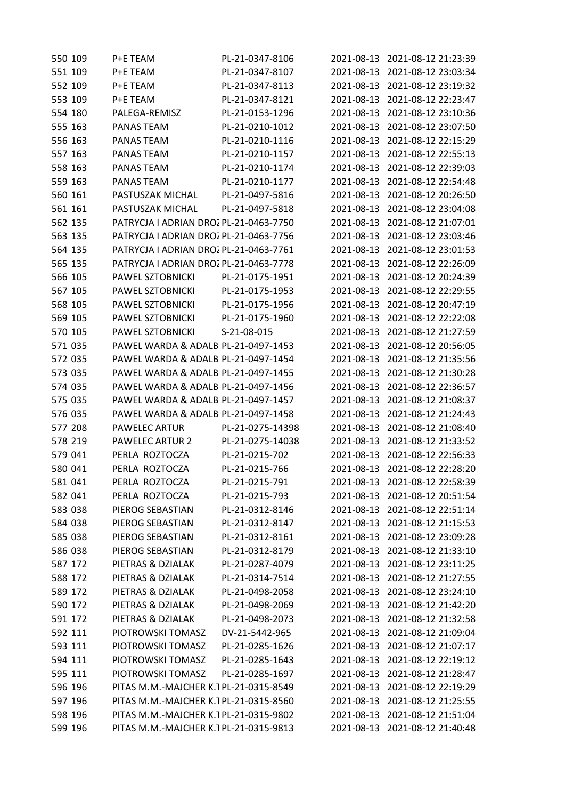| 550 109 | P+E TEAM                               | PL-21-0347-8106  |            | 2021-08-13 2021-08-12 21:23:39 |
|---------|----------------------------------------|------------------|------------|--------------------------------|
| 551 109 | P+E TEAM                               | PL-21-0347-8107  | 2021-08-13 | 2021-08-12 23:03:34            |
| 552 109 | P+E TEAM                               | PL-21-0347-8113  | 2021-08-13 | 2021-08-12 23:19:32            |
| 553 109 | P+E TEAM                               | PL-21-0347-8121  | 2021-08-13 | 2021-08-12 22:23:47            |
| 554 180 | PALEGA-REMISZ                          | PL-21-0153-1296  | 2021-08-13 | 2021-08-12 23:10:36            |
| 555 163 | PANAS TEAM                             | PL-21-0210-1012  | 2021-08-13 | 2021-08-12 23:07:50            |
| 556 163 | <b>PANAS TEAM</b>                      | PL-21-0210-1116  | 2021-08-13 | 2021-08-12 22:15:29            |
| 557 163 | <b>PANAS TEAM</b>                      | PL-21-0210-1157  | 2021-08-13 | 2021-08-12 22:55:13            |
| 558 163 | PANAS TEAM                             | PL-21-0210-1174  | 2021-08-13 | 2021-08-12 22:39:03            |
| 559 163 | PANAS TEAM                             | PL-21-0210-1177  | 2021-08-13 | 2021-08-12 22:54:48            |
| 560 161 | PASTUSZAK MICHAL                       | PL-21-0497-5816  | 2021-08-13 | 2021-08-12 20:26:50            |
| 561 161 | PASTUSZAK MICHAL                       | PL-21-0497-5818  | 2021-08-13 | 2021-08-12 23:04:08            |
| 562 135 | PATRYCJA I ADRIAN DROZ PL-21-0463-7750 |                  | 2021-08-13 | 2021-08-12 21:07:01            |
| 563 135 | PATRYCJA I ADRIAN DROZ PL-21-0463-7756 |                  | 2021-08-13 | 2021-08-12 23:03:46            |
| 564 135 | PATRYCJA I ADRIAN DROZ PL-21-0463-7761 |                  | 2021-08-13 | 2021-08-12 23:01:53            |
| 565 135 | PATRYCJA I ADRIAN DROZ PL-21-0463-7778 |                  | 2021-08-13 | 2021-08-12 22:26:09            |
| 566 105 | PAWEL SZTOBNICKI                       | PL-21-0175-1951  | 2021-08-13 | 2021-08-12 20:24:39            |
| 567 105 | PAWEL SZTOBNICKI                       | PL-21-0175-1953  | 2021-08-13 | 2021-08-12 22:29:55            |
| 568 105 | PAWEL SZTOBNICKI                       | PL-21-0175-1956  | 2021-08-13 | 2021-08-12 20:47:19            |
| 569 105 | PAWEL SZTOBNICKI                       | PL-21-0175-1960  | 2021-08-13 | 2021-08-12 22:22:08            |
| 570 105 | PAWEL SZTOBNICKI                       | S-21-08-015      | 2021-08-13 | 2021-08-12 21:27:59            |
| 571 035 | PAWEL WARDA & ADALB PL-21-0497-1453    |                  | 2021-08-13 | 2021-08-12 20:56:05            |
| 572 035 | PAWEL WARDA & ADALB PL-21-0497-1454    |                  | 2021-08-13 | 2021-08-12 21:35:56            |
| 573 035 | PAWEL WARDA & ADALB PL-21-0497-1455    |                  | 2021-08-13 | 2021-08-12 21:30:28            |
| 574 035 | PAWEL WARDA & ADALB PL-21-0497-1456    |                  | 2021-08-13 | 2021-08-12 22:36:57            |
| 575 035 | PAWEL WARDA & ADALB PL-21-0497-1457    |                  | 2021-08-13 | 2021-08-12 21:08:37            |
| 576 035 | PAWEL WARDA & ADALB PL-21-0497-1458    |                  | 2021-08-13 | 2021-08-12 21:24:43            |
| 577 208 | <b>PAWELEC ARTUR</b>                   | PL-21-0275-14398 | 2021-08-13 | 2021-08-12 21:08:40            |
| 578 219 | <b>PAWELEC ARTUR 2</b>                 | PL-21-0275-14038 | 2021-08-13 | 2021-08-12 21:33:52            |
| 579 041 | PERLA ROZTOCZA                         | PL-21-0215-702   | 2021-08-13 | 2021-08-12 22:56:33            |
| 580 041 | PERLA ROZTOCZA                         | PL-21-0215-766   |            | 2021-08-13 2021-08-12 22:28:20 |
| 581 041 | PERLA ROZTOCZA                         | PL-21-0215-791   | 2021-08-13 | 2021-08-12 22:58:39            |
| 582 041 | PERLA ROZTOCZA                         | PL-21-0215-793   | 2021-08-13 | 2021-08-12 20:51:54            |
| 583 038 | PIEROG SEBASTIAN                       | PL-21-0312-8146  | 2021-08-13 | 2021-08-12 22:51:14            |
| 584 038 | PIEROG SEBASTIAN                       | PL-21-0312-8147  | 2021-08-13 | 2021-08-12 21:15:53            |
| 585 038 | PIEROG SEBASTIAN                       | PL-21-0312-8161  | 2021-08-13 | 2021-08-12 23:09:28            |
| 586 038 | PIEROG SEBASTIAN                       | PL-21-0312-8179  | 2021-08-13 | 2021-08-12 21:33:10            |
| 587 172 | PIETRAS & DZIALAK                      | PL-21-0287-4079  | 2021-08-13 | 2021-08-12 23:11:25            |
| 588 172 | PIETRAS & DZIALAK                      | PL-21-0314-7514  | 2021-08-13 | 2021-08-12 21:27:55            |
| 589 172 | PIETRAS & DZIALAK                      | PL-21-0498-2058  | 2021-08-13 | 2021-08-12 23:24:10            |
| 590 172 | PIETRAS & DZIALAK                      | PL-21-0498-2069  | 2021-08-13 | 2021-08-12 21:42:20            |
| 591 172 | PIETRAS & DZIALAK                      | PL-21-0498-2073  | 2021-08-13 | 2021-08-12 21:32:58            |
| 592 111 | PIOTROWSKI TOMASZ                      | DV-21-5442-965   | 2021-08-13 | 2021-08-12 21:09:04            |
| 593 111 | PIOTROWSKI TOMASZ                      | PL-21-0285-1626  | 2021-08-13 | 2021-08-12 21:07:17            |
| 594 111 | PIOTROWSKI TOMASZ                      | PL-21-0285-1643  | 2021-08-13 | 2021-08-12 22:19:12            |
| 595 111 | PIOTROWSKI TOMASZ                      | PL-21-0285-1697  | 2021-08-13 | 2021-08-12 21:28:47            |
| 596 196 | PITAS M.M.-MAJCHER K.1PL-21-0315-8549  |                  | 2021-08-13 | 2021-08-12 22:19:29            |
| 597 196 | PITAS M.M.-MAJCHER K.1PL-21-0315-8560  |                  | 2021-08-13 | 2021-08-12 21:25:55            |
| 598 196 | PITAS M.M.-MAJCHER K.1PL-21-0315-9802  |                  | 2021-08-13 | 2021-08-12 21:51:04            |
| 599 196 | PITAS M.M.-MAJCHER K.1PL-21-0315-9813  |                  |            | 2021-08-13 2021-08-12 21:40:48 |
|         |                                        |                  |            |                                |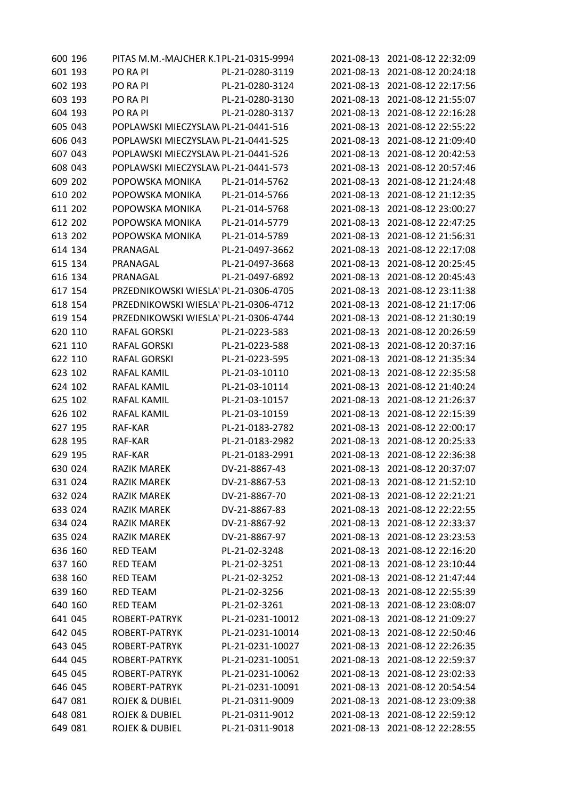| 600 196 | PITAS M.M.-MAJCHER K.1PL-21-0315-9994 |                  |            | 2021-08-13 2021-08-12 22:32:09 |
|---------|---------------------------------------|------------------|------------|--------------------------------|
| 601 193 | PO RA PI                              | PL-21-0280-3119  | 2021-08-13 | 2021-08-12 20:24:18            |
| 602 193 | PO RA PI                              | PL-21-0280-3124  | 2021-08-13 | 2021-08-12 22:17:56            |
| 603 193 | PO RA PI                              | PL-21-0280-3130  | 2021-08-13 | 2021-08-12 21:55:07            |
| 604 193 | PO RA PI                              | PL-21-0280-3137  | 2021-08-13 | 2021-08-12 22:16:28            |
| 605 043 | POPLAWSKI MIECZYSLAW PL-21-0441-516   |                  | 2021-08-13 | 2021-08-12 22:55:22            |
| 606 043 | POPLAWSKI MIECZYSLAW PL-21-0441-525   |                  | 2021-08-13 | 2021-08-12 21:09:40            |
| 607 043 | POPLAWSKI MIECZYSLAW PL-21-0441-526   |                  | 2021-08-13 | 2021-08-12 20:42:53            |
| 608 043 | POPLAWSKI MIECZYSLAW PL-21-0441-573   |                  | 2021-08-13 | 2021-08-12 20:57:46            |
| 609 202 | POPOWSKA MONIKA                       | PL-21-014-5762   | 2021-08-13 | 2021-08-12 21:24:48            |
| 610 202 | POPOWSKA MONIKA                       | PL-21-014-5766   | 2021-08-13 | 2021-08-12 21:12:35            |
| 611 202 | POPOWSKA MONIKA                       | PL-21-014-5768   | 2021-08-13 | 2021-08-12 23:00:27            |
| 612 202 | POPOWSKA MONIKA                       | PL-21-014-5779   | 2021-08-13 | 2021-08-12 22:47:25            |
| 613 202 | POPOWSKA MONIKA                       | PL-21-014-5789   | 2021-08-13 | 2021-08-12 21:56:31            |
| 614 134 | PRANAGAL                              | PL-21-0497-3662  | 2021-08-13 | 2021-08-12 22:17:08            |
| 615 134 | PRANAGAL                              | PL-21-0497-3668  | 2021-08-13 | 2021-08-12 20:25:45            |
| 616 134 | PRANAGAL                              | PL-21-0497-6892  | 2021-08-13 | 2021-08-12 20:45:43            |
| 617 154 | PRZEDNIKOWSKI WIESLA' PL-21-0306-4705 |                  | 2021-08-13 | 2021-08-12 23:11:38            |
| 618 154 | PRZEDNIKOWSKI WIESLA' PL-21-0306-4712 |                  | 2021-08-13 | 2021-08-12 21:17:06            |
| 619 154 | PRZEDNIKOWSKI WIESLA' PL-21-0306-4744 |                  | 2021-08-13 | 2021-08-12 21:30:19            |
| 620 110 | <b>RAFAL GORSKI</b>                   | PL-21-0223-583   | 2021-08-13 | 2021-08-12 20:26:59            |
| 621 110 | <b>RAFAL GORSKI</b>                   | PL-21-0223-588   | 2021-08-13 | 2021-08-12 20:37:16            |
| 622 110 | <b>RAFAL GORSKI</b>                   | PL-21-0223-595   | 2021-08-13 | 2021-08-12 21:35:34            |
| 623 102 | RAFAL KAMIL                           | PL-21-03-10110   | 2021-08-13 | 2021-08-12 22:35:58            |
| 624 102 | <b>RAFAL KAMIL</b>                    | PL-21-03-10114   | 2021-08-13 | 2021-08-12 21:40:24            |
| 625 102 | RAFAL KAMIL                           | PL-21-03-10157   | 2021-08-13 | 2021-08-12 21:26:37            |
| 626 102 | <b>RAFAL KAMIL</b>                    | PL-21-03-10159   | 2021-08-13 | 2021-08-12 22:15:39            |
| 627 195 | RAF-KAR                               | PL-21-0183-2782  | 2021-08-13 | 2021-08-12 22:00:17            |
| 628 195 | RAF-KAR                               | PL-21-0183-2982  | 2021-08-13 | 2021-08-12 20:25:33            |
| 629 195 | RAF-KAR                               | PL-21-0183-2991  | 2021-08-13 | 2021-08-12 22:36:38            |
| 630 024 | <b>RAZIK MAREK</b>                    | DV-21-8867-43    |            | 2021-08-13 2021-08-12 20:37:07 |
| 631 024 | <b>RAZIK MAREK</b>                    | DV-21-8867-53    | 2021-08-13 | 2021-08-12 21:52:10            |
| 632 024 | <b>RAZIK MAREK</b>                    | DV-21-8867-70    | 2021-08-13 | 2021-08-12 22:21:21            |
| 633 024 | <b>RAZIK MAREK</b>                    | DV-21-8867-83    | 2021-08-13 | 2021-08-12 22:22:55            |
| 634 024 | <b>RAZIK MAREK</b>                    | DV-21-8867-92    | 2021-08-13 | 2021-08-12 22:33:37            |
| 635 024 | <b>RAZIK MAREK</b>                    | DV-21-8867-97    | 2021-08-13 | 2021-08-12 23:23:53            |
| 636 160 | <b>RED TEAM</b>                       | PL-21-02-3248    | 2021-08-13 | 2021-08-12 22:16:20            |
| 637 160 | <b>RED TEAM</b>                       | PL-21-02-3251    | 2021-08-13 | 2021-08-12 23:10:44            |
| 638 160 | <b>RED TEAM</b>                       | PL-21-02-3252    | 2021-08-13 | 2021-08-12 21:47:44            |
| 639 160 | <b>RED TEAM</b>                       | PL-21-02-3256    | 2021-08-13 | 2021-08-12 22:55:39            |
| 640 160 | <b>RED TEAM</b>                       | PL-21-02-3261    | 2021-08-13 | 2021-08-12 23:08:07            |
| 641 045 | ROBERT-PATRYK                         | PL-21-0231-10012 | 2021-08-13 | 2021-08-12 21:09:27            |
| 642 045 | ROBERT-PATRYK                         | PL-21-0231-10014 | 2021-08-13 | 2021-08-12 22:50:46            |
| 643 045 | ROBERT-PATRYK                         | PL-21-0231-10027 | 2021-08-13 | 2021-08-12 22:26:35            |
| 644 045 | ROBERT-PATRYK                         | PL-21-0231-10051 | 2021-08-13 | 2021-08-12 22:59:37            |
| 645 045 | ROBERT-PATRYK                         | PL-21-0231-10062 | 2021-08-13 | 2021-08-12 23:02:33            |
| 646 045 | ROBERT-PATRYK                         | PL-21-0231-10091 | 2021-08-13 | 2021-08-12 20:54:54            |
| 647 081 | <b>ROJEK &amp; DUBIEL</b>             | PL-21-0311-9009  | 2021-08-13 | 2021-08-12 23:09:38            |
| 648 081 | <b>ROJEK &amp; DUBIEL</b>             | PL-21-0311-9012  | 2021-08-13 | 2021-08-12 22:59:12            |
| 649 081 | <b>ROJEK &amp; DUBIEL</b>             | PL-21-0311-9018  | 2021-08-13 | 2021-08-12 22:28:55            |
|         |                                       |                  |            |                                |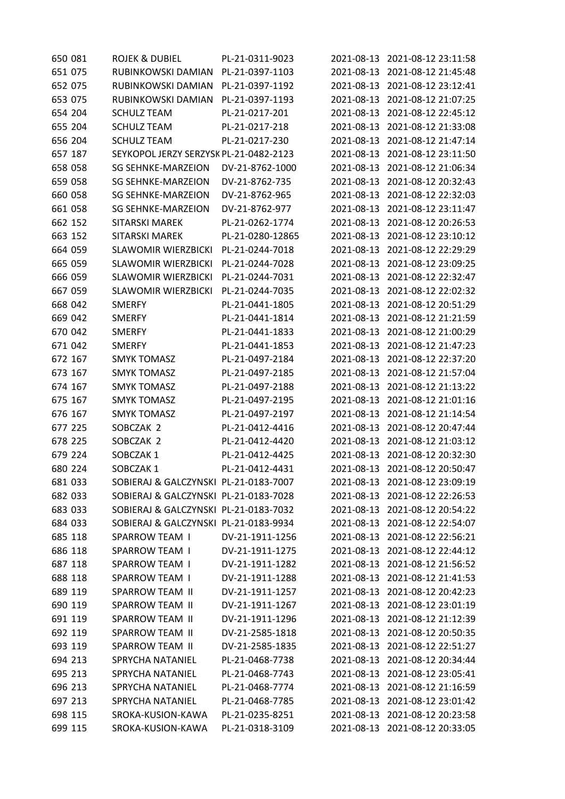| 650 081 | <b>ROJEK &amp; DUBIEL</b>              | PL-21-0311-9023  |            | 2021-08-13 2021-08-12 23:11:58 |
|---------|----------------------------------------|------------------|------------|--------------------------------|
| 651 075 | RUBINKOWSKI DAMIAN                     | PL-21-0397-1103  | 2021-08-13 | 2021-08-12 21:45:48            |
| 652 075 | RUBINKOWSKI DAMIAN                     | PL-21-0397-1192  | 2021-08-13 | 2021-08-12 23:12:41            |
| 653 075 | RUBINKOWSKI DAMIAN                     | PL-21-0397-1193  | 2021-08-13 | 2021-08-12 21:07:25            |
| 654 204 | <b>SCHULZ TEAM</b>                     | PL-21-0217-201   | 2021-08-13 | 2021-08-12 22:45:12            |
| 655 204 | <b>SCHULZ TEAM</b>                     | PL-21-0217-218   | 2021-08-13 | 2021-08-12 21:33:08            |
| 656 204 | <b>SCHULZ TEAM</b>                     | PL-21-0217-230   | 2021-08-13 | 2021-08-12 21:47:14            |
| 657 187 | SEYKOPOL JERZY SERZYSK PL-21-0482-2123 |                  | 2021-08-13 | 2021-08-12 23:11:50            |
| 658 058 | <b>SG SEHNKE-MARZEION</b>              | DV-21-8762-1000  | 2021-08-13 | 2021-08-12 21:06:34            |
| 659 058 | <b>SG SEHNKE-MARZEION</b>              | DV-21-8762-735   | 2021-08-13 | 2021-08-12 20:32:43            |
| 660 058 | <b>SG SEHNKE-MARZEION</b>              | DV-21-8762-965   | 2021-08-13 | 2021-08-12 22:32:03            |
| 661 058 | SG SEHNKE-MARZEION                     | DV-21-8762-977   | 2021-08-13 | 2021-08-12 23:11:47            |
| 662 152 | <b>SITARSKI MAREK</b>                  | PL-21-0262-1774  | 2021-08-13 | 2021-08-12 20:26:53            |
| 663 152 | <b>SITARSKI MAREK</b>                  | PL-21-0280-12865 | 2021-08-13 | 2021-08-12 23:10:12            |
| 664 059 | <b>SLAWOMIR WIERZBICKI</b>             | PL-21-0244-7018  | 2021-08-13 | 2021-08-12 22:29:29            |
| 665 059 | <b>SLAWOMIR WIERZBICKI</b>             | PL-21-0244-7028  | 2021-08-13 | 2021-08-12 23:09:25            |
| 666 059 | <b>SLAWOMIR WIERZBICKI</b>             | PL-21-0244-7031  | 2021-08-13 | 2021-08-12 22:32:47            |
| 667 059 | <b>SLAWOMIR WIERZBICKI</b>             | PL-21-0244-7035  | 2021-08-13 | 2021-08-12 22:02:32            |
| 668 042 | <b>SMERFY</b>                          | PL-21-0441-1805  | 2021-08-13 | 2021-08-12 20:51:29            |
| 669 042 | <b>SMERFY</b>                          | PL-21-0441-1814  | 2021-08-13 | 2021-08-12 21:21:59            |
| 670 042 | <b>SMERFY</b>                          | PL-21-0441-1833  | 2021-08-13 | 2021-08-12 21:00:29            |
| 671 042 | <b>SMERFY</b>                          | PL-21-0441-1853  | 2021-08-13 | 2021-08-12 21:47:23            |
| 672 167 | <b>SMYK TOMASZ</b>                     | PL-21-0497-2184  | 2021-08-13 | 2021-08-12 22:37:20            |
| 673 167 | <b>SMYK TOMASZ</b>                     | PL-21-0497-2185  | 2021-08-13 | 2021-08-12 21:57:04            |
| 674 167 | <b>SMYK TOMASZ</b>                     | PL-21-0497-2188  | 2021-08-13 | 2021-08-12 21:13:22            |
| 675 167 | <b>SMYK TOMASZ</b>                     | PL-21-0497-2195  | 2021-08-13 | 2021-08-12 21:01:16            |
| 676 167 | <b>SMYK TOMASZ</b>                     | PL-21-0497-2197  | 2021-08-13 | 2021-08-12 21:14:54            |
| 677 225 | SOBCZAK 2                              | PL-21-0412-4416  | 2021-08-13 | 2021-08-12 20:47:44            |
| 678 225 | SOBCZAK 2                              | PL-21-0412-4420  | 2021-08-13 | 2021-08-12 21:03:12            |
| 679 224 | SOBCZAK1                               | PL-21-0412-4425  | 2021-08-13 | 2021-08-12 20:32:30            |
| 680 224 | SOBCZAK 1                              | PL-21-0412-4431  |            | 2021-08-13 2021-08-12 20:50:47 |
| 681 033 | SOBIERAJ & GALCZYNSKI PL-21-0183-7007  |                  | 2021-08-13 | 2021-08-12 23:09:19            |
| 682 033 | SOBIERAJ & GALCZYNSKI PL-21-0183-7028  |                  | 2021-08-13 | 2021-08-12 22:26:53            |
| 683 033 | SOBIERAJ & GALCZYNSKI PL-21-0183-7032  |                  | 2021-08-13 | 2021-08-12 20:54:22            |
| 684 033 | SOBIERAJ & GALCZYNSKI PL-21-0183-9934  |                  | 2021-08-13 | 2021-08-12 22:54:07            |
| 685 118 | SPARROW TEAM I                         | DV-21-1911-1256  | 2021-08-13 | 2021-08-12 22:56:21            |
| 686 118 | SPARROW TEAM I                         | DV-21-1911-1275  | 2021-08-13 | 2021-08-12 22:44:12            |
| 687 118 | SPARROW TEAM I                         | DV-21-1911-1282  | 2021-08-13 | 2021-08-12 21:56:52            |
| 688 118 | <b>SPARROW TEAM I</b>                  | DV-21-1911-1288  | 2021-08-13 | 2021-08-12 21:41:53            |
| 689 119 | <b>SPARROW TEAM II</b>                 | DV-21-1911-1257  | 2021-08-13 | 2021-08-12 20:42:23            |
| 690 119 | SPARROW TEAM II                        | DV-21-1911-1267  | 2021-08-13 | 2021-08-12 23:01:19            |
| 691 119 | SPARROW TEAM II                        | DV-21-1911-1296  | 2021-08-13 | 2021-08-12 21:12:39            |
| 692 119 | SPARROW TEAM II                        | DV-21-2585-1818  | 2021-08-13 | 2021-08-12 20:50:35            |
| 693 119 | SPARROW TEAM II                        | DV-21-2585-1835  | 2021-08-13 | 2021-08-12 22:51:27            |
| 694 213 | SPRYCHA NATANIEL                       | PL-21-0468-7738  | 2021-08-13 | 2021-08-12 20:34:44            |
| 695 213 | SPRYCHA NATANIEL                       | PL-21-0468-7743  | 2021-08-13 | 2021-08-12 23:05:41            |
| 696 213 | SPRYCHA NATANIEL                       | PL-21-0468-7774  | 2021-08-13 | 2021-08-12 21:16:59            |
| 697 213 | SPRYCHA NATANIEL                       | PL-21-0468-7785  | 2021-08-13 | 2021-08-12 23:01:42            |
| 698 115 | SROKA-KUSION-KAWA                      | PL-21-0235-8251  | 2021-08-13 | 2021-08-12 20:23:58            |
| 699 115 | SROKA-KUSION-KAWA                      | PL-21-0318-3109  |            | 2021-08-13 2021-08-12 20:33:05 |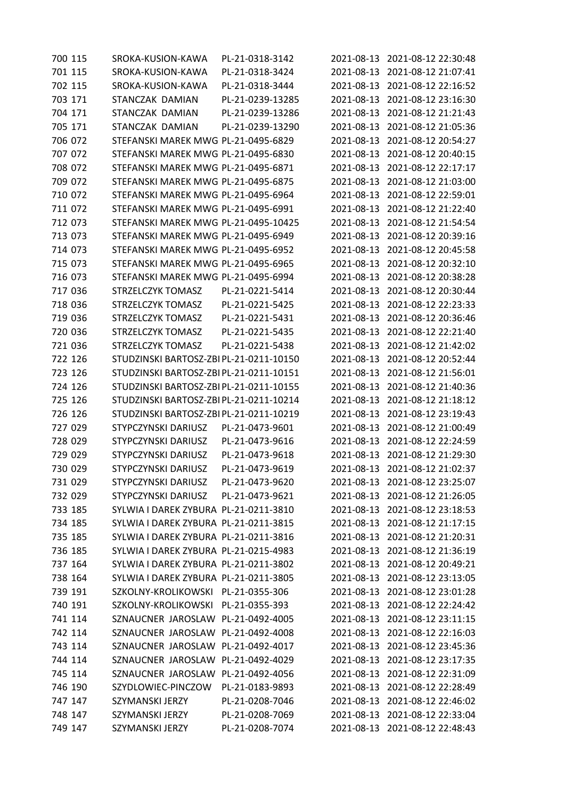| 700 115 | SROKA-KUSION-KAWA                       | PL-21-0318-3142  |            | 2021-08-13 2021-08-12 22:30:48 |
|---------|-----------------------------------------|------------------|------------|--------------------------------|
| 701 115 | SROKA-KUSION-KAWA                       | PL-21-0318-3424  | 2021-08-13 | 2021-08-12 21:07:41            |
| 702 115 | SROKA-KUSION-KAWA                       | PL-21-0318-3444  | 2021-08-13 | 2021-08-12 22:16:52            |
| 703 171 | STANCZAK DAMIAN                         | PL-21-0239-13285 | 2021-08-13 | 2021-08-12 23:16:30            |
| 704 171 | STANCZAK DAMIAN                         | PL-21-0239-13286 | 2021-08-13 | 2021-08-12 21:21:43            |
| 705 171 | STANCZAK DAMIAN                         | PL-21-0239-13290 | 2021-08-13 | 2021-08-12 21:05:36            |
| 706 072 | STEFANSKI MAREK MWG PL-21-0495-6829     |                  | 2021-08-13 | 2021-08-12 20:54:27            |
| 707 072 | STEFANSKI MAREK MWG PL-21-0495-6830     |                  | 2021-08-13 | 2021-08-12 20:40:15            |
| 708 072 | STEFANSKI MAREK MWG PL-21-0495-6871     |                  | 2021-08-13 | 2021-08-12 22:17:17            |
| 709 072 | STEFANSKI MAREK MWG PL-21-0495-6875     |                  | 2021-08-13 | 2021-08-12 21:03:00            |
| 710 072 | STEFANSKI MAREK MWG PL-21-0495-6964     |                  | 2021-08-13 | 2021-08-12 22:59:01            |
| 711 072 | STEFANSKI MAREK MWG PL-21-0495-6991     |                  | 2021-08-13 | 2021-08-12 21:22:40            |
| 712 073 | STEFANSKI MAREK MWG PL-21-0495-10425    |                  | 2021-08-13 | 2021-08-12 21:54:54            |
| 713 073 | STEFANSKI MAREK MWG PL-21-0495-6949     |                  | 2021-08-13 | 2021-08-12 20:39:16            |
| 714 073 | STEFANSKI MAREK MWG PL-21-0495-6952     |                  | 2021-08-13 | 2021-08-12 20:45:58            |
| 715 073 | STEFANSKI MAREK MWG PL-21-0495-6965     |                  | 2021-08-13 | 2021-08-12 20:32:10            |
| 716 073 | STEFANSKI MAREK MWG PL-21-0495-6994     |                  | 2021-08-13 | 2021-08-12 20:38:28            |
| 717 036 | STRZELCZYK TOMASZ                       | PL-21-0221-5414  | 2021-08-13 | 2021-08-12 20:30:44            |
| 718 036 | STRZELCZYK TOMASZ                       | PL-21-0221-5425  | 2021-08-13 | 2021-08-12 22:23:33            |
| 719 036 | STRZELCZYK TOMASZ                       | PL-21-0221-5431  | 2021-08-13 | 2021-08-12 20:36:46            |
| 720 036 | STRZELCZYK TOMASZ                       | PL-21-0221-5435  | 2021-08-13 | 2021-08-12 22:21:40            |
| 721 036 | STRZELCZYK TOMASZ                       | PL-21-0221-5438  | 2021-08-13 | 2021-08-12 21:42:02            |
| 722 126 | STUDZINSKI BARTOSZ-ZBI PL-21-0211-10150 |                  | 2021-08-13 | 2021-08-12 20:52:44            |
| 723 126 | STUDZINSKI BARTOSZ-ZBI PL-21-0211-10151 |                  | 2021-08-13 | 2021-08-12 21:56:01            |
| 724 126 | STUDZINSKI BARTOSZ-ZBI PL-21-0211-10155 |                  | 2021-08-13 | 2021-08-12 21:40:36            |
| 725 126 | STUDZINSKI BARTOSZ-ZBI PL-21-0211-10214 |                  | 2021-08-13 | 2021-08-12 21:18:12            |
| 726 126 | STUDZINSKI BARTOSZ-ZBI PL-21-0211-10219 |                  | 2021-08-13 | 2021-08-12 23:19:43            |
| 727 029 | STYPCZYNSKI DARIUSZ                     | PL-21-0473-9601  | 2021-08-13 | 2021-08-12 21:00:49            |
| 728 029 | STYPCZYNSKI DARIUSZ                     | PL-21-0473-9616  | 2021-08-13 | 2021-08-12 22:24:59            |
| 729 029 | STYPCZYNSKI DARIUSZ                     | PL-21-0473-9618  | 2021-08-13 | 2021-08-12 21:29:30            |
| 730 029 | STYPCZYNSKI DARIUSZ                     | PL-21-0473-9619  |            | 2021-08-13 2021-08-12 21:02:37 |
| 731 029 | STYPCZYNSKI DARIUSZ                     | PL-21-0473-9620  |            | 2021-08-13 2021-08-12 23:25:07 |
| 732 029 | STYPCZYNSKI DARIUSZ                     | PL-21-0473-9621  | 2021-08-13 | 2021-08-12 21:26:05            |
| 733 185 | SYLWIA I DAREK ZYBURA PL-21-0211-3810   |                  |            | 2021-08-13 2021-08-12 23:18:53 |
| 734 185 | SYLWIA I DAREK ZYBURA PL-21-0211-3815   |                  | 2021-08-13 | 2021-08-12 21:17:15            |
| 735 185 | SYLWIA I DAREK ZYBURA PL-21-0211-3816   |                  | 2021-08-13 | 2021-08-12 21:20:31            |
| 736 185 | SYLWIA I DAREK ZYBURA PL-21-0215-4983   |                  | 2021-08-13 | 2021-08-12 21:36:19            |
| 737 164 | SYLWIA I DAREK ZYBURA PL-21-0211-3802   |                  | 2021-08-13 | 2021-08-12 20:49:21            |
| 738 164 | SYLWIA I DAREK ZYBURA PL-21-0211-3805   |                  | 2021-08-13 | 2021-08-12 23:13:05            |
| 739 191 | SZKOLNY-KROLIKOWSKI PL-21-0355-306      |                  | 2021-08-13 | 2021-08-12 23:01:28            |
| 740 191 | SZKOLNY-KROLIKOWSKI                     | PL-21-0355-393   | 2021-08-13 | 2021-08-12 22:24:42            |
| 741 114 | SZNAUCNER JAROSLAW PL-21-0492-4005      |                  | 2021-08-13 | 2021-08-12 23:11:15            |
| 742 114 | SZNAUCNER JAROSLAW PL-21-0492-4008      |                  | 2021-08-13 | 2021-08-12 22:16:03            |
| 743 114 | SZNAUCNER JAROSLAW PL-21-0492-4017      |                  | 2021-08-13 | 2021-08-12 23:45:36            |
| 744 114 | SZNAUCNER JAROSLAW PL-21-0492-4029      |                  | 2021-08-13 | 2021-08-12 23:17:35            |
| 745 114 | SZNAUCNER JAROSLAW PL-21-0492-4056      |                  | 2021-08-13 | 2021-08-12 22:31:09            |
| 746 190 | SZYDLOWIEC-PINCZOW                      | PL-21-0183-9893  | 2021-08-13 | 2021-08-12 22:28:49            |
| 747 147 | SZYMANSKI JERZY                         | PL-21-0208-7046  | 2021-08-13 | 2021-08-12 22:46:02            |
| 748 147 | SZYMANSKI JERZY                         | PL-21-0208-7069  | 2021-08-13 | 2021-08-12 22:33:04            |
| 749 147 | SZYMANSKI JERZY                         | PL-21-0208-7074  |            | 2021-08-13 2021-08-12 22:48:43 |
|         |                                         |                  |            |                                |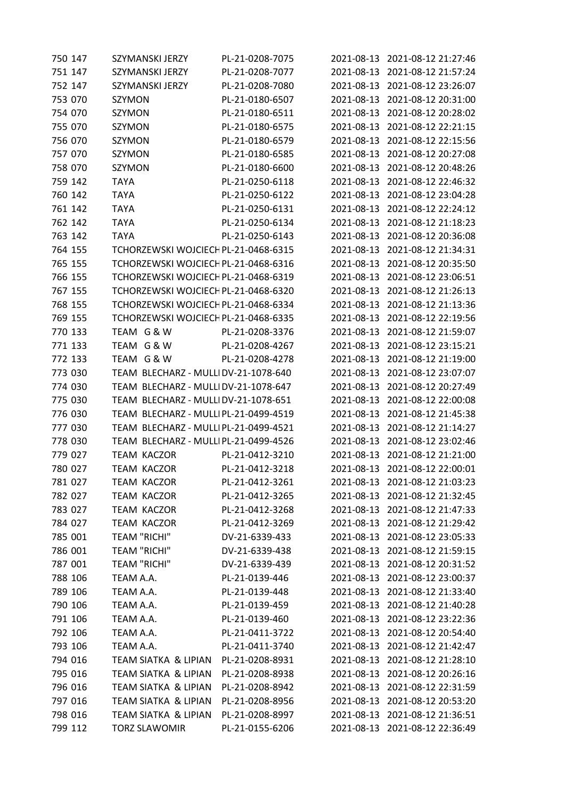| 750 147 | SZYMANSKI JERZY                                    | PL-21-0208-7075 |                          | 2021-08-13 2021-08-12 21:27:46 |
|---------|----------------------------------------------------|-----------------|--------------------------|--------------------------------|
| 751 147 | SZYMANSKI JERZY                                    | PL-21-0208-7077 | 2021-08-13               | 2021-08-12 21:57:24            |
| 752 147 | SZYMANSKI JERZY                                    | PL-21-0208-7080 | 2021-08-13               | 2021-08-12 23:26:07            |
| 753 070 | SZYMON                                             | PL-21-0180-6507 | 2021-08-13               | 2021-08-12 20:31:00            |
| 754 070 | <b>SZYMON</b>                                      | PL-21-0180-6511 | 2021-08-13               | 2021-08-12 20:28:02            |
| 755 070 | SZYMON                                             | PL-21-0180-6575 | 2021-08-13               | 2021-08-12 22:21:15            |
| 756 070 | SZYMON                                             | PL-21-0180-6579 | 2021-08-13               | 2021-08-12 22:15:56            |
| 757 070 | SZYMON                                             | PL-21-0180-6585 | 2021-08-13               | 2021-08-12 20:27:08            |
| 758 070 | SZYMON                                             | PL-21-0180-6600 | 2021-08-13               | 2021-08-12 20:48:26            |
| 759 142 | <b>TAYA</b>                                        | PL-21-0250-6118 | 2021-08-13               | 2021-08-12 22:46:32            |
| 760 142 | <b>TAYA</b>                                        | PL-21-0250-6122 | 2021-08-13               | 2021-08-12 23:04:28            |
| 761 142 | <b>TAYA</b>                                        | PL-21-0250-6131 | 2021-08-13               | 2021-08-12 22:24:12            |
| 762 142 | <b>TAYA</b>                                        | PL-21-0250-6134 | 2021-08-13               | 2021-08-12 21:18:23            |
| 763 142 | <b>TAYA</b>                                        | PL-21-0250-6143 | 2021-08-13               | 2021-08-12 20:36:08            |
| 764 155 | TCHORZEWSKI WOJCIECH PL-21-0468-6315               |                 | 2021-08-13               | 2021-08-12 21:34:31            |
| 765 155 | TCHORZEWSKI WOJCIECH PL-21-0468-6316               |                 | 2021-08-13               | 2021-08-12 20:35:50            |
| 766 155 | TCHORZEWSKI WOJCIECH PL-21-0468-6319               |                 | 2021-08-13               | 2021-08-12 23:06:51            |
| 767 155 | TCHORZEWSKI WOJCIECH PL-21-0468-6320               |                 | 2021-08-13               | 2021-08-12 21:26:13            |
| 768 155 | TCHORZEWSKI WOJCIECH PL-21-0468-6334               |                 | 2021-08-13               | 2021-08-12 21:13:36            |
|         |                                                    |                 |                          | 2021-08-12 22:19:56            |
| 769 155 | TCHORZEWSKI WOJCIECH PL-21-0468-6335<br>TEAM G & W |                 | 2021-08-13<br>2021-08-13 |                                |
| 770 133 |                                                    | PL-21-0208-3376 |                          | 2021-08-12 21:59:07            |
| 771 133 | TEAM G & W                                         | PL-21-0208-4267 | 2021-08-13               | 2021-08-12 23:15:21            |
| 772 133 | TEAM G & W                                         | PL-21-0208-4278 | 2021-08-13               | 2021-08-12 21:19:00            |
| 773 030 | TEAM BLECHARZ - MULLIDV-21-1078-640                |                 | 2021-08-13               | 2021-08-12 23:07:07            |
| 774 030 | TEAM BLECHARZ - MULLIDV-21-1078-647                |                 | 2021-08-13               | 2021-08-12 20:27:49            |
| 775 030 | TEAM BLECHARZ - MULLIDV-21-1078-651                |                 | 2021-08-13               | 2021-08-12 22:00:08            |
| 776 030 | TEAM BLECHARZ - MULLIPL-21-0499-4519               |                 | 2021-08-13               | 2021-08-12 21:45:38            |
| 777 030 | TEAM BLECHARZ - MULLIPL-21-0499-4521               |                 | 2021-08-13               | 2021-08-12 21:14:27            |
| 778 030 | TEAM BLECHARZ - MULLIPL-21-0499-4526               |                 | 2021-08-13               | 2021-08-12 23:02:46            |
| 779 027 | <b>TEAM KACZOR</b>                                 | PL-21-0412-3210 | 2021-08-13               | 2021-08-12 21:21:00            |
| 780 027 | <b>TEAM KACZOR</b>                                 | PL-21-0412-3218 |                          | 2021-08-13 2021-08-12 22:00:01 |
| 781 027 | TEAM KACZOR                                        | PL-21-0412-3261 |                          | 2021-08-13 2021-08-12 21:03:23 |
| 782 027 | <b>TEAM KACZOR</b>                                 | PL-21-0412-3265 | 2021-08-13               | 2021-08-12 21:32:45            |
| 783 027 | <b>TEAM KACZOR</b>                                 | PL-21-0412-3268 | 2021-08-13               | 2021-08-12 21:47:33            |
| 784 027 | <b>TEAM KACZOR</b>                                 | PL-21-0412-3269 | 2021-08-13               | 2021-08-12 21:29:42            |
| 785 001 | <b>TEAM "RICHI"</b>                                | DV-21-6339-433  |                          | 2021-08-13 2021-08-12 23:05:33 |
| 786 001 | <b>TEAM "RICHI"</b>                                | DV-21-6339-438  | 2021-08-13               | 2021-08-12 21:59:15            |
| 787 001 | <b>TEAM "RICHI"</b>                                | DV-21-6339-439  | 2021-08-13               | 2021-08-12 20:31:52            |
| 788 106 | TEAM A.A.                                          | PL-21-0139-446  | 2021-08-13               | 2021-08-12 23:00:37            |
| 789 106 | TEAM A.A.                                          | PL-21-0139-448  | 2021-08-13               | 2021-08-12 21:33:40            |
| 790 106 | TEAM A.A.                                          | PL-21-0139-459  |                          | 2021-08-13 2021-08-12 21:40:28 |
| 791 106 | TEAM A.A.                                          | PL-21-0139-460  | 2021-08-13               | 2021-08-12 23:22:36            |
| 792 106 | TEAM A.A.                                          | PL-21-0411-3722 | 2021-08-13               | 2021-08-12 20:54:40            |
| 793 106 | TEAM A.A.                                          | PL-21-0411-3740 | 2021-08-13               | 2021-08-12 21:42:47            |
| 794 016 | TEAM SIATKA & LIPIAN                               | PL-21-0208-8931 | 2021-08-13               | 2021-08-12 21:28:10            |
| 795 016 | TEAM SIATKA & LIPIAN                               | PL-21-0208-8938 | 2021-08-13               | 2021-08-12 20:26:16            |
| 796 016 | TEAM SIATKA & LIPIAN                               | PL-21-0208-8942 | 2021-08-13               | 2021-08-12 22:31:59            |
| 797 016 | TEAM SIATKA & LIPIAN                               | PL-21-0208-8956 | 2021-08-13               | 2021-08-12 20:53:20            |
| 798 016 | <b>TEAM SIATKA &amp; LIPIAN</b>                    | PL-21-0208-8997 | 2021-08-13               | 2021-08-12 21:36:51            |
| 799 112 | <b>TORZ SLAWOMIR</b>                               | PL-21-0155-6206 |                          | 2021-08-13 2021-08-12 22:36:49 |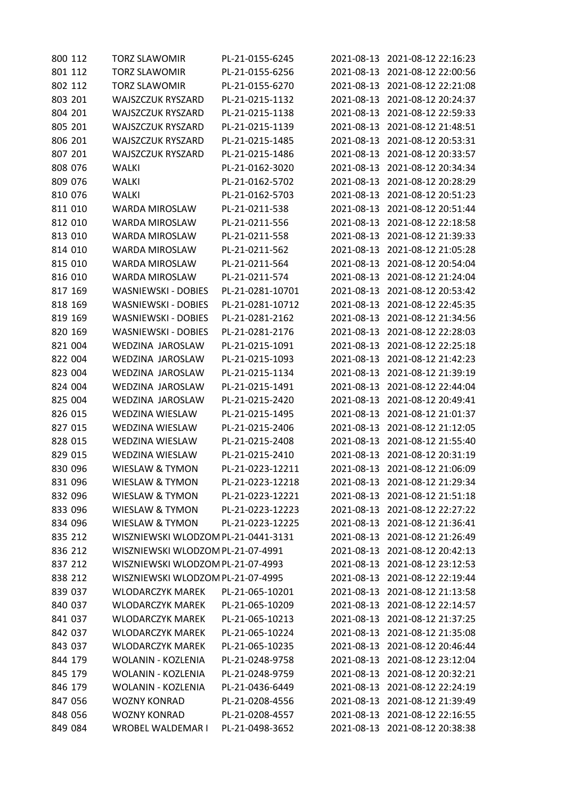| <b>TORZ SLAWOMIR</b>       | PL-21-0155-6245  |                                                                                                                                                    | 2021-08-13 2021-08-12 22:16:23 |
|----------------------------|------------------|----------------------------------------------------------------------------------------------------------------------------------------------------|--------------------------------|
| <b>TORZ SLAWOMIR</b>       | PL-21-0155-6256  | 2021-08-13                                                                                                                                         | 2021-08-12 22:00:56            |
| <b>TORZ SLAWOMIR</b>       | PL-21-0155-6270  | 2021-08-13                                                                                                                                         | 2021-08-12 22:21:08            |
| <b>WAJSZCZUK RYSZARD</b>   | PL-21-0215-1132  | 2021-08-13                                                                                                                                         | 2021-08-12 20:24:37            |
| <b>WAJSZCZUK RYSZARD</b>   | PL-21-0215-1138  | 2021-08-13                                                                                                                                         | 2021-08-12 22:59:33            |
| <b>WAJSZCZUK RYSZARD</b>   | PL-21-0215-1139  | 2021-08-13                                                                                                                                         | 2021-08-12 21:48:51            |
| <b>WAJSZCZUK RYSZARD</b>   | PL-21-0215-1485  | 2021-08-13                                                                                                                                         | 2021-08-12 20:53:31            |
| WAJSZCZUK RYSZARD          | PL-21-0215-1486  | 2021-08-13                                                                                                                                         | 2021-08-12 20:33:57            |
| <b>WALKI</b>               | PL-21-0162-3020  | 2021-08-13                                                                                                                                         | 2021-08-12 20:34:34            |
| <b>WALKI</b>               | PL-21-0162-5702  | 2021-08-13                                                                                                                                         | 2021-08-12 20:28:29            |
| <b>WALKI</b>               | PL-21-0162-5703  | 2021-08-13                                                                                                                                         | 2021-08-12 20:51:23            |
| <b>WARDA MIROSLAW</b>      | PL-21-0211-538   | 2021-08-13                                                                                                                                         | 2021-08-12 20:51:44            |
| WARDA MIROSLAW             | PL-21-0211-556   | 2021-08-13                                                                                                                                         | 2021-08-12 22:18:58            |
| WARDA MIROSLAW             | PL-21-0211-558   | 2021-08-13                                                                                                                                         | 2021-08-12 21:39:33            |
| <b>WARDA MIROSLAW</b>      | PL-21-0211-562   | 2021-08-13                                                                                                                                         | 2021-08-12 21:05:28            |
| <b>WARDA MIROSLAW</b>      | PL-21-0211-564   | 2021-08-13                                                                                                                                         | 2021-08-12 20:54:04            |
| <b>WARDA MIROSLAW</b>      | PL-21-0211-574   | 2021-08-13                                                                                                                                         | 2021-08-12 21:24:04            |
| <b>WASNIEWSKI - DOBIES</b> | PL-21-0281-10701 | 2021-08-13                                                                                                                                         | 2021-08-12 20:53:42            |
| <b>WASNIEWSKI - DOBIES</b> | PL-21-0281-10712 | 2021-08-13                                                                                                                                         | 2021-08-12 22:45:35            |
| <b>WASNIEWSKI - DOBIES</b> | PL-21-0281-2162  | 2021-08-13                                                                                                                                         | 2021-08-12 21:34:56            |
| <b>WASNIEWSKI - DOBIES</b> | PL-21-0281-2176  | 2021-08-13                                                                                                                                         | 2021-08-12 22:28:03            |
| WEDZINA JAROSLAW           | PL-21-0215-1091  | 2021-08-13                                                                                                                                         | 2021-08-12 22:25:18            |
| WEDZINA JAROSLAW           | PL-21-0215-1093  | 2021-08-13                                                                                                                                         | 2021-08-12 21:42:23            |
| WEDZINA JAROSLAW           | PL-21-0215-1134  | 2021-08-13                                                                                                                                         | 2021-08-12 21:39:19            |
| WEDZINA JAROSLAW           | PL-21-0215-1491  | 2021-08-13                                                                                                                                         | 2021-08-12 22:44:04            |
| WEDZINA JAROSLAW           | PL-21-0215-2420  | 2021-08-13                                                                                                                                         | 2021-08-12 20:49:41            |
| <b>WEDZINA WIESLAW</b>     | PL-21-0215-1495  | 2021-08-13                                                                                                                                         | 2021-08-12 21:01:37            |
| <b>WEDZINA WIESLAW</b>     | PL-21-0215-2406  | 2021-08-13                                                                                                                                         | 2021-08-12 21:12:05            |
| <b>WEDZINA WIESLAW</b>     | PL-21-0215-2408  | 2021-08-13                                                                                                                                         | 2021-08-12 21:55:40            |
| <b>WEDZINA WIESLAW</b>     | PL-21-0215-2410  | 2021-08-13                                                                                                                                         | 2021-08-12 20:31:19            |
| <b>WIESLAW &amp; TYMON</b> | PL-21-0223-12211 |                                                                                                                                                    | 2021-08-13 2021-08-12 21:06:09 |
| <b>WIESLAW &amp; TYMON</b> | PL-21-0223-12218 | 2021-08-13                                                                                                                                         | 2021-08-12 21:29:34            |
| <b>WIESLAW &amp; TYMON</b> | PL-21-0223-12221 | 2021-08-13                                                                                                                                         | 2021-08-12 21:51:18            |
| <b>WIESLAW &amp; TYMON</b> | PL-21-0223-12223 | 2021-08-13                                                                                                                                         | 2021-08-12 22:27:22            |
| <b>WIESLAW &amp; TYMON</b> | PL-21-0223-12225 | 2021-08-13                                                                                                                                         | 2021-08-12 21:36:41            |
|                            |                  | 2021-08-13                                                                                                                                         | 2021-08-12 21:26:49            |
|                            |                  | 2021-08-13                                                                                                                                         | 2021-08-12 20:42:13            |
|                            |                  | 2021-08-13                                                                                                                                         | 2021-08-12 23:12:53            |
|                            |                  | 2021-08-13                                                                                                                                         | 2021-08-12 22:19:44            |
| <b>WLODARCZYK MAREK</b>    | PL-21-065-10201  | 2021-08-13                                                                                                                                         | 2021-08-12 21:13:58            |
| <b>WLODARCZYK MAREK</b>    | PL-21-065-10209  | 2021-08-13                                                                                                                                         | 2021-08-12 22:14:57            |
| <b>WLODARCZYK MAREK</b>    | PL-21-065-10213  | 2021-08-13                                                                                                                                         | 2021-08-12 21:37:25            |
| <b>WLODARCZYK MAREK</b>    | PL-21-065-10224  | 2021-08-13                                                                                                                                         | 2021-08-12 21:35:08            |
| <b>WLODARCZYK MAREK</b>    | PL-21-065-10235  | 2021-08-13                                                                                                                                         | 2021-08-12 20:46:44            |
| WOLANIN - KOZLENIA         | PL-21-0248-9758  | 2021-08-13                                                                                                                                         | 2021-08-12 23:12:04            |
| WOLANIN - KOZLENIA         | PL-21-0248-9759  | 2021-08-13                                                                                                                                         | 2021-08-12 20:32:21            |
| <b>WOLANIN - KOZLENIA</b>  | PL-21-0436-6449  | 2021-08-13                                                                                                                                         | 2021-08-12 22:24:19            |
| <b>WOZNY KONRAD</b>        | PL-21-0208-4556  | 2021-08-13                                                                                                                                         | 2021-08-12 21:39:49            |
|                            |                  |                                                                                                                                                    |                                |
| <b>WOZNY KONRAD</b>        | PL-21-0208-4557  | 2021-08-13                                                                                                                                         | 2021-08-12 22:16:55            |
|                            |                  | WISZNIEWSKI WLODZOM PL-21-0441-3131<br>WISZNIEWSKI WLODZOM PL-21-07-4991<br>WISZNIEWSKI WLODZOM PL-21-07-4993<br>WISZNIEWSKI WLODZOM PL-21-07-4995 |                                |